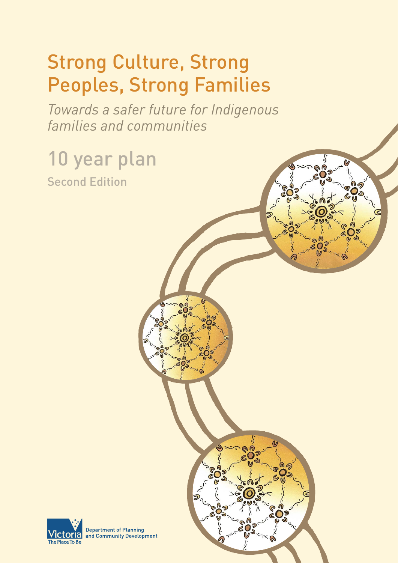# Strong Culture, Strong Peoples, Strong Families

*Towards a safer future for Indigenous families and communities*

**22** 

 $\ddot{\mathbf{O}}$ ව

G

 $\overline{y}$ 

C

**คค**  $\blacksquare$ 

₩

5

の

႐ဲခ

 $\overline{O}$ M

10 year plan Second Edition



Department of Planning and Community Development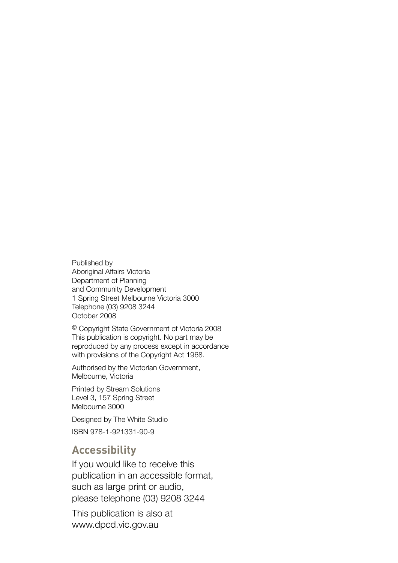Published by Aboriginal Affairs Victoria Department of Planning and Community Development 1 Spring Street Melbourne Victoria 3000 Telephone (03) 9208 3244 October 2008

© Copyright State Government of Victoria 2008 This publication is copyright. No part may be reproduced by any process except in accordance with provisions of the Copyright Act 1968.

Authorised by the Victorian Government, Melbourne, Victoria

Printed by Stream Solutions Level 3, 157 Spring Street Melbourne 3000

Designed by The White Studio

ISBN 978-1-921331-90-9

#### **Accessibility**

If you would like to receive this publication in an accessible format, such as large print or audio, please telephone (03) 9208 3244

This publication is also at www.dpcd.vic.gov.au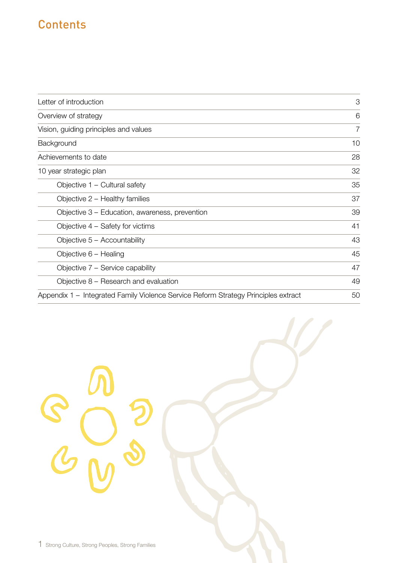# **Contents**

| Letter of introduction                                                             | 3              |
|------------------------------------------------------------------------------------|----------------|
| Overview of strategy                                                               | 6              |
| Vision, guiding principles and values                                              | $\overline{7}$ |
| Background                                                                         | 10             |
| Achievements to date                                                               | 28             |
| 10 year strategic plan                                                             | 32             |
| Objective $1 -$ Cultural safety                                                    | 35             |
| Objective 2 - Healthy families                                                     | 37             |
| Objective 3 – Education, awareness, prevention                                     | 39             |
| Objective $4 -$ Safety for victims                                                 | 41             |
| Objective $5 -$ Accountability                                                     | 43             |
| Objective 6 - Healing                                                              | 45             |
| Objective 7 - Service capability                                                   | 47             |
| Objective 8 – Research and evaluation                                              | 49             |
| Appendix 1 – Integrated Family Violence Service Reform Strategy Principles extract | 50             |

 $\frac{5}{2}$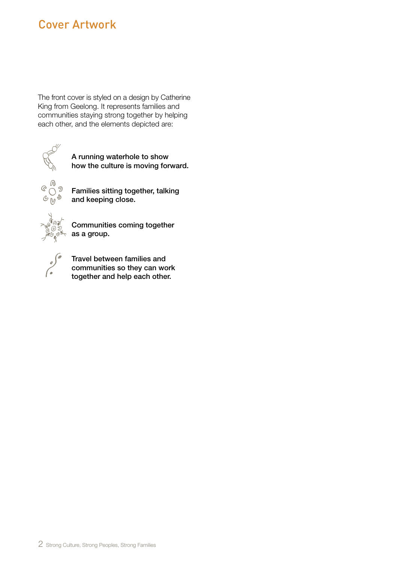# Cover Artwork

The front cover is styled on a design by Catherine King from Geelong. It represents families and communities staying strong together by helping each other, and the elements depicted are:



**A running waterhole to show how the culture is moving forward.**



**Families sitting together, talking and keeping close.** 



**Communities coming together as a group.**



**Travel between families and communities so they can work together and help each other.**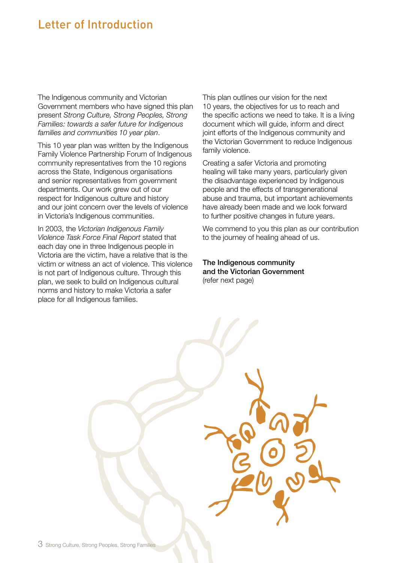### Letter of Introduction

The Indigenous community and Victorian Government members who have signed this plan present *Strong Culture, Strong Peoples, Strong Families: towards a safer future for Indigenous families and communities 10 year plan*.

This 10 year plan was written by the Indigenous Family Violence Partnership Forum of Indigenous community representatives from the 10 regions across the State, Indigenous organisations and senior representatives from government departments. Our work grew out of our respect for Indigenous culture and history and our joint concern over the levels of violence in Victoria's Indigenous communities.

In 2003, the *Victorian Indigenous Family Violence Task Force Final Report* stated that each day one in three Indigenous people in Victoria are the victim, have a relative that is the victim or witness an act of violence. This violence is not part of Indigenous culture. Through this plan, we seek to build on Indigenous cultural norms and history to make Victoria a safer place for all Indigenous families.

This plan outlines our vision for the next 10 years, the objectives for us to reach and the specific actions we need to take. It is a living document which will guide, inform and direct joint efforts of the Indigenous community and the Victorian Government to reduce Indigenous family violence.

Creating a safer Victoria and promoting healing will take many years, particularly given the disadvantage experienced by Indigenous people and the effects of transgenerational abuse and trauma, but important achievements have already been made and we look forward to further positive changes in future years.

We commend to you this plan as our contribution to the journey of healing ahead of us.

**The Indigenous community and the Victorian Government**  (refer next page)

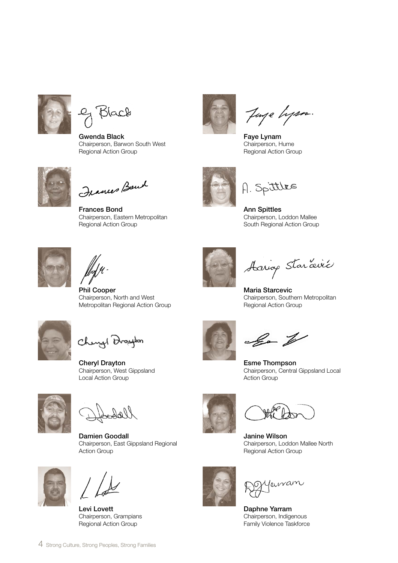



**Gwenda Black**  Chairperson, Barwon South West Regional Action Group



Frances Bouch

**Frances Bond** Chairperson, Eastern Metropolitan Regional Action Group



Junge Lysson.

**Faye Lynam** Chairperson, Hume Regional Action Group



**Ann Spittles** Chairperson, Loddon Mallee South Regional Action Group



**Phil Cooper** Chairperson, North and West Metropolitan Regional Action Group



Chenyl Drayton

**Cheryl Drayton** Chairperson, West Gippsland Local Action Group



**Damien Goodall** Chairperson, East Gippsland Regional Action Group



**Levi Lovett** Chairperson, Grampians Regional Action Group





**Esme Thompson** 

Sec 1

Action Group

**Janine Wilson** Chairperson, Loddon Mallee North Regional Action Group



**Daphne Yarram**  Chairperson, Indigenous Family Violence Taskforce

Aaria Starcevic

**Maria Starcevic** Chairperson, Southern Metropolitan Regional Action Group

Chairperson, Central Gippsland Local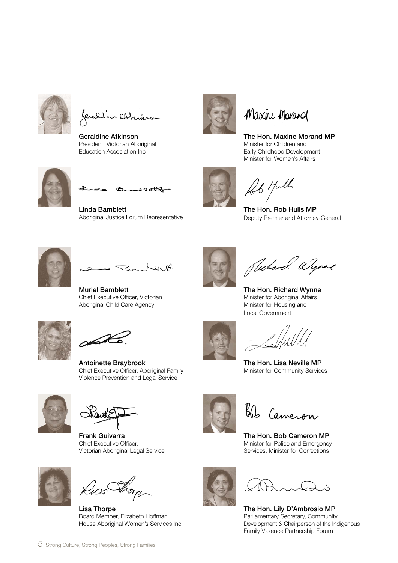

fercellin ashimo-

**Geraldine Atkinson** President, Victorian Aboriginal Education Association Inc





**Linda Bamblett**  Aboriginal Justice Forum Representative



Maxine Movard

**The Hon. Maxine Morand MP** Minister for Children and Early Childhood Development Minister for Women's Affairs

Rob Mill

**The Hon. Rob Hulls MP** Deputy Premier and Attorney-General



Loit

**Muriel Bamblett** Chief Executive Officer, Victorian Aboriginal Child Care Agency





**Antoinette Braybrook** Chief Executive Officer, Aboriginal Family Violence Prevention and Legal Service



**Frank Guivarra**  Chief Executive Officer. Victorian Aboriginal Legal Service



**Lisa Thorpe** Board Member, Elizabeth Hoffman House Aboriginal Women's Services Inc



Bb Cameron

**The Hon. Bob Cameron MP** Minister for Police and Emergency Services, Minister for Corrections



**The Hon. Lily D'Ambrosio MP**  Parliamentary Secretary, Community Development & Chairperson of the Indigenous Family Violence Partnership Forum

Richard Wynne

**The Hon. Richard Wynne**  Minister for Aboriginal Affairs Minister for Housing and Local Government

**The Hon. Lisa Neville MP** Minister for Community Services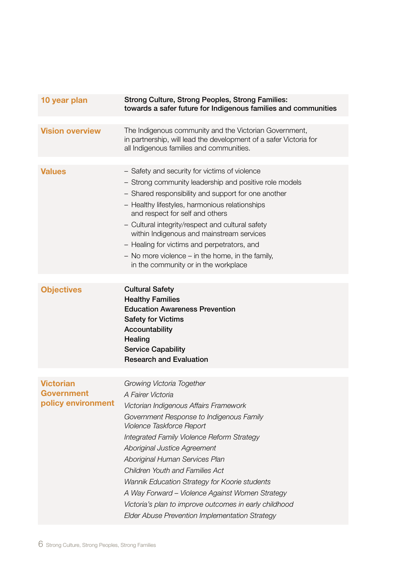| 10 year plan                                                | <b>Strong Culture, Strong Peoples, Strong Families:</b><br>towards a safer future for Indigenous families and communities                                                                                                                                                                                                                                                                                                                                                                                                                          |
|-------------------------------------------------------------|----------------------------------------------------------------------------------------------------------------------------------------------------------------------------------------------------------------------------------------------------------------------------------------------------------------------------------------------------------------------------------------------------------------------------------------------------------------------------------------------------------------------------------------------------|
| <b>Vision overview</b>                                      | The Indigenous community and the Victorian Government,<br>in partnership, will lead the development of a safer Victoria for<br>all Indigenous families and communities.                                                                                                                                                                                                                                                                                                                                                                            |
| <b>Values</b>                                               | - Safety and security for victims of violence<br>- Strong community leadership and positive role models<br>- Shared responsibility and support for one another<br>- Healthy lifestyles, harmonious relationships<br>and respect for self and others<br>- Cultural integrity/respect and cultural safety<br>within Indigenous and mainstream services<br>- Healing for victims and perpetrators, and<br>$-$ No more violence $-$ in the home, in the family,<br>in the community or in the workplace                                                |
| <b>Objectives</b>                                           | <b>Cultural Safety</b><br><b>Healthy Families</b><br><b>Education Awareness Prevention</b><br><b>Safety for Victims</b><br>Accountability<br>Healing<br><b>Service Capability</b><br><b>Research and Evaluation</b>                                                                                                                                                                                                                                                                                                                                |
| <b>Victorian</b><br><b>Government</b><br>policy environment | Growing Victoria Together<br>A Fairer Victoria<br>Victorian Indigenous Affairs Framework<br>Government Response to Indigenous Family<br>Violence Taskforce Report<br>Integrated Family Violence Reform Strategy<br>Aboriginal Justice Agreement<br>Aboriginal Human Services Plan<br><b>Children Youth and Families Act</b><br><b>Wannik Education Strategy for Koorie students</b><br>A Way Forward – Violence Against Women Strategy<br>Victoria's plan to improve outcomes in early childhood<br>Elder Abuse Prevention Implementation Strategy |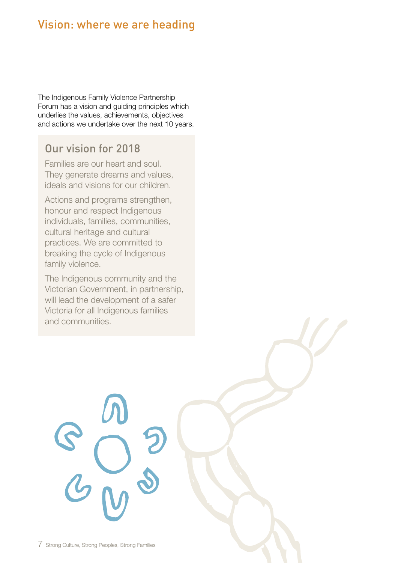### Vision: where we are heading

The Indigenous Family Violence Partnership Forum has a vision and guiding principles which underlies the values, achievements, objectives and actions we undertake over the next 10 years.

# Our vision for 2018

Families are our heart and soul. They generate dreams and values, ideals and visions for our children.

Actions and programs strengthen, honour and respect Indigenous individuals, families, communities, cultural heritage and cultural practices. We are committed to breaking the cycle of Indigenous family violence.

The Indigenous community and the Victorian Government, in partnership, will lead the development of a safer Victoria for all Indigenous families and communities.

 $C_{0.8}^{\circ}$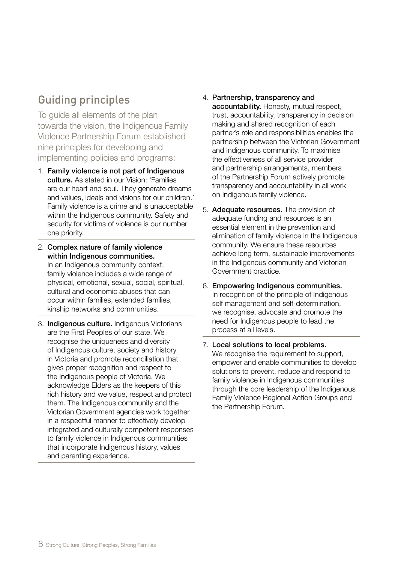# Guiding principles

To guide all elements of the plan towards the vision, the Indigenous Family Violence Partnership Forum established nine principles for developing and implementing policies and programs:

- 1. **Family violence is not part of Indigenous culture.** As stated in our Vision: 'Families are our heart and soul. They generate dreams and values, ideals and visions for our children.' Family violence is a crime and is unacceptable within the Indigenous community. Safety and security for victims of violence is our number one priority.
- 2. **Complex nature of family violence within Indigenous communities.**  In an Indigenous community context, family violence includes a wide range of physical, emotional, sexual, social, spiritual, cultural and economic abuses that can occur within families, extended families, kinship networks and communities.
- 3. **Indigenous culture.** Indigenous Victorians are the First Peoples of our state. We recognise the uniqueness and diversity of Indigenous culture, society and history in Victoria and promote reconciliation that gives proper recognition and respect to the Indigenous people of Victoria. We acknowledge Elders as the keepers of this rich history and we value, respect and protect them. The Indigenous community and the Victorian Government agencies work together in a respectful manner to effectively develop integrated and culturally competent responses to family violence in Indigenous communities that incorporate Indigenous history, values and parenting experience.
- 4. **Partnership, transparency and accountability.** Honesty, mutual respect, trust, accountability, transparency in decision making and shared recognition of each partner's role and responsibilities enables the partnership between the Victorian Government and Indigenous community. To maximise the effectiveness of all service provider and partnership arrangements, members of the Partnership Forum actively promote transparency and accountability in all work on Indigenous family violence.
- 5. **Adequate resources.** The provision of adequate funding and resources is an essential element in the prevention and elimination of family violence in the Indigenous community. We ensure these resources achieve long term, sustainable improvements in the Indigenous community and Victorian Government practice.
- 6. **Empowering Indigenous communities.** In recognition of the principle of Indigenous self management and self-determination, we recognise, advocate and promote the need for Indigenous people to lead the process at all levels.
- 7. **Local solutions to local problems.** We recognise the requirement to support, empower and enable communities to develop solutions to prevent, reduce and respond to family violence in Indigenous communities through the core leadership of the Indigenous Family Violence Regional Action Groups and the Partnership Forum.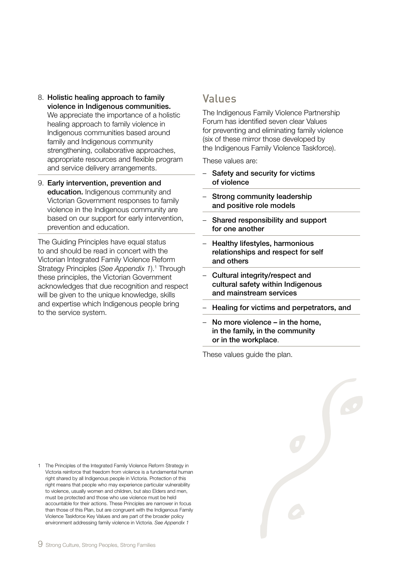- 8. **Holistic healing approach to family violence in Indigenous communities.**  We appreciate the importance of a holistic healing approach to family violence in Indigenous communities based around family and Indigenous community strengthening, collaborative approaches, appropriate resources and flexible program and service delivery arrangements.
- 9. **Early intervention, prevention and education.** Indigenous community and Victorian Government responses to family violence in the Indigenous community are based on our support for early intervention, prevention and education.

The Guiding Principles have equal status to and should be read in concert with the Victorian Integrated Family Violence Reform Strategy Principles (See Appendix 1).<sup>1</sup> Through these principles, the Victorian Government acknowledges that due recognition and respect will be given to the unique knowledge, skills and expertise which Indigenous people bring to the service system.

#### Values

The Indigenous Family Violence Partnership Forum has identified seven clear Values for preventing and eliminating family violence (six of these mirror those developed by the Indigenous Family Violence Taskforce).

These values are:

- **Safety and security for victims of violence**
- **Strong community leadership and positive role models**
- **Shared responsibility and support for one another**
- **Healthy lifestyles, harmonious relationships and respect for self and others**
- **Cultural integrity/respect and cultural safety within Indigenous and mainstream services**
- **Healing for victims and perpetrators, and**
- **No more violence in the home, in the family, in the community or in the workplace**.

These values guide the plan.

1 The Principles of the Integrated Family Violence Reform Strategy in Victoria reinforce that freedom from violence is a fundamental human right shared by all Indigenous people in Victoria. Protection of this right means that people who may experience particular vulnerability to violence, usually women and children, but also Elders and men, must be protected and those who use violence must be held accountable for their actions. These Principles are narrower in focus than those of this Plan, but are congruent with the Indigenous Family Violence Taskforce Key Values and are part of the broader policy environment addressing family violence in Victoria. *See Appendix 1*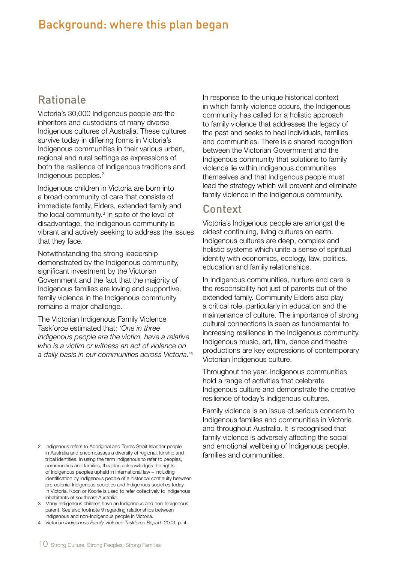### Rationale

Victoria's 30,000 Indigenous people are the inheritors and custodians of many diverse Indigenous cultures of Australia. These cultures survive today in differing forms in Victoria's Indigenous communities in their various urban, regional and rural settings as expressions of both the resilience of Indigenous traditions and Indigenous peoples.2

Indigenous children in Victoria are born into a broad community of care that consists of immediate family, Elders, extended family and the local community.<sup>3</sup> In spite of the level of disadvantage, the Indigenous community is vibrant and actively seeking to address the issues that they face.

Notwithstanding the strong leadership demonstrated by the Indigenous community, significant investment by the Victorian Government and the fact that the majority of Indigenous families are loving and supportive, family violence in the Indigenous community remains a major challenge.

The Victorian Indigenous Family Violence Taskforce estimated that: *'One in three Indigenous people are the victim, have a relative who is a victim or witness an act of violence on a daily basis in our communities across Victoria.'*<sup>4</sup>

2 Indigenous refers to Aboriginal and Torres Strait Islander people in Australia and encompasses a diversity of regional, kinship and tribal identities. In using the term Indigenous to refer to peoples, communities and families, this plan acknowledges the rights of Indigenous peoples upheld in international law – including identification by Indigenous people of a historical continuity between pre-colonial Indigenous societies and Indigenous societies today. In Victoria, Koori or Koorie is used to refer collectively to Indigenous inhabitants of southeast Australia.

- 3 Many Indigenous children have an Indigenous and non-Indigenous parent. See also footnote 9 regarding relationships between Indigenous and non-Indigenous people in Victoria.
- 4 *Victorian Indigenous Family Violence Taskforce Report*, 2003, p. 4.

In response to the unique historical context in which family violence occurs, the Indigenous community has called for a holistic approach to family violence that addresses the legacy of the past and seeks to heal individuals, families and communities. There is a shared recognition between the Victorian Government and the Indigenous community that solutions to family violence lie within Indigenous communities themselves and that Indigenous people must lead the strategy which will prevent and eliminate family violence in the Indigenous community.

#### Context

Victoria's Indigenous people are amongst the oldest continuing, living cultures on earth. Indigenous cultures are deep, complex and holistic systems which unite a sense of spiritual identity with economics, ecology, law, politics, education and family relationships.

In Indigenous communities, nurture and care is the responsibility not just of parents but of the extended family. Community Elders also play a critical role, particularly in education and the maintenance of culture. The importance of strong cultural connections is seen as fundamental to increasing resilience in the Indigenous community. Indigenous music, art, film, dance and theatre productions are key expressions of contemporary Victorian Indigenous culture.

Throughout the year, Indigenous communities hold a range of activities that celebrate Indigenous culture and demonstrate the creative resilience of today's Indigenous cultures.

Family violence is an issue of serious concern to Indigenous families and communities in Victoria and throughout Australia. It is recognised that family violence is adversely affecting the social and emotional wellbeing of Indigenous people, families and communities.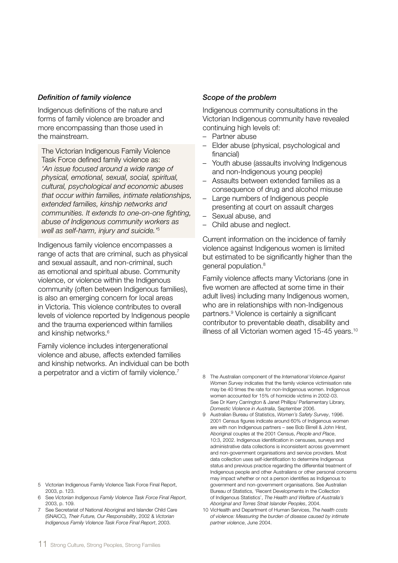#### **Definition of family violence**

Indigenous definitions of the nature and forms of family violence are broader and more encompassing than those used in the mainstream.

The Victorian Indigenous Family Violence Task Force defined family violence as: *'An issue focused around a wide range of physical, emotional, sexual, social, spiritual, cultural, psychological and economic abuses that occur within families, intimate relationships, extended families, kinship networks and communities. It extends to one-on-one fighting. abuse of Indigenous community workers as well as self-harm, injury and suicide.'*<sup>5</sup>

Indigenous family violence encompasses a range of acts that are criminal, such as physical and sexual assault, and non-criminal, such as emotional and spiritual abuse. Community violence, or violence within the Indigenous community (often between Indigenous families), is also an emerging concern for local areas in Victoria. This violence contributes to overall levels of violence reported by Indigenous people and the trauma experienced within families and kinship networks.<sup>6</sup>

Family violence includes intergenerational violence and abuse, affects extended families and kinship networks. An individual can be both a perpetrator and a victim of family violence.<sup>7</sup>

#### 5 Victorian Indigenous Family Violence Task Force Final Report,

- 2003, p. 123. 6 See *Victorian Indigenous Family Violence Task Force Final Report*, 2003, p. 109.
- 7 See Secretariat of National Aboriginal and Islander Child Care (SNAICC), *Their Future, Our Responsibility*, 2002 & *Victorian Indigenous Family Violence Task Force Final Report*, 2003.

#### *Scope of the problem*

Indigenous community consultations in the Victorian Indigenous community have revealed continuing high levels of:

- Partner abuse
- Elder abuse (physical, psychological and financial)
- Youth abuse (assaults involving Indigenous and non-Indigenous young people)
- Assaults between extended families as a consequence of drug and alcohol misuse
- Large numbers of Indigenous people presenting at court on assault charges
- Sexual abuse, and
- Child abuse and neglect.

Current information on the incidence of family violence against Indigenous women is limited but estimated to be significantly higher than the general population.8

Family violence affects many Victorians (one in five women are affected at some time in their adult lives) including many Indigenous women, who are in relationships with non-Indigenous partners.<sup>9</sup> Violence is certainly a significant contributor to preventable death, disability and illness of all Victorian women aged 15-45 years.<sup>10</sup>

10 VicHealth and Department of Human Services, *The health costs of violence: Measuring the burden of disease caused by intimate partner violence*, June 2004.

<sup>8</sup> The Australian component of the *International Violence Against Women Survey* indicates that the family violence victimisation rate may be 40 times the rate for non-Indigenous women. Indigenous women accounted for 15% of homicide victims in 2002-03. See Dr Kerry Carrington & Janet Phillips/ Parliamentary Library, *Domestic Violence in Australia*, September 2006.

<sup>9</sup> Australian Bureau of Statistics, *Women's Safety Survey*, 1996. 2001 Census figures indicate around 60% of Indigenous women are with non Indigenous partners – see Bob Birrell & John Hirst, Aboriginal couples at the 2001 Census, *People and Place*, 10:3, 2002. Indigenous identification in censuses, surveys and administrative data collections is inconsistent across government and non-government organisations and service providers. Most data collection uses self-identification to determine Indigenous status and previous practice regarding the differential treatment of Indigenous people and other Australians or other personal concerns may impact whether or not a person identifies as Indigenous to government and non-government organisations. See Australian Bureau of Statistics, 'Recent Developments in the Collection of Indigenous Statistics', *The Health and Welfare of Australia's Aboriginal and Torres Strait Islander Peoples*, 2004.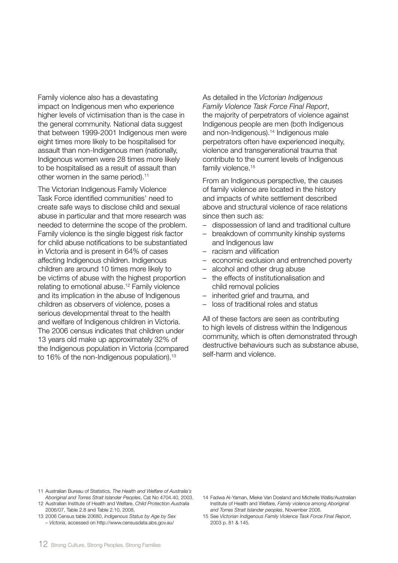Family violence also has a devastating impact on Indigenous men who experience higher levels of victimisation than is the case in the general community. National data suggest that between 1999-2001 Indigenous men were eight times more likely to be hospitalised for assault than non-Indigenous men (nationally, Indigenous women were 28 times more likely to be hospitalised as a result of assault than other women in the same period).11

The Victorian Indigenous Family Violence Task Force identified communities' need to create safe ways to disclose child and sexual abuse in particular and that more research was needed to determine the scope of the problem. Family violence is the single biggest risk factor for child abuse notifications to be substantiated in Victoria and is present in 64% of cases affecting Indigenous children. Indigenous children are around 10 times more likely to be victims of abuse with the highest proportion relating to emotional abuse.<sup>12</sup> Family violence and its implication in the abuse of Indigenous children as observers of violence, poses a serious developmental threat to the health and welfare of Indigenous children in Victoria. The 2006 census indicates that children under 13 years old make up approximately 32% of the Indigenous population in Victoria (compared to 16% of the non-Indigenous population).<sup>13</sup>

As detailed in the *Victorian Indigenous Family Violence Task Force Final Report*, the majority of perpetrators of violence against Indigenous people are men (both Indigenous and non-Indigenous).<sup>14</sup> Indigenous male perpetrators often have experienced inequity, violence and transgenerational trauma that contribute to the current levels of Indigenous family violence.<sup>15</sup>

From an Indigenous perspective, the causes of family violence are located in the history and impacts of white settlement described above and structural violence of race relations since then such as:

- dispossession of land and traditional culture
- breakdown of community kinship systems and Indigenous law
- racism and vilification
- economic exclusion and entrenched poverty
- alcohol and other drug abuse
- the effects of institutionalisation and child removal policies
- inherited grief and trauma, and
- loss of traditional roles and status

All of these factors are seen as contributing to high levels of distress within the Indigenous community, which is often demonstrated through destructive behaviours such as substance abuse, self-harm and violence.

11 Australian Bureau of Statistics, *The Health and Welfare of Australia's* 

- *Aboriginal and Torres Strait Islander Peoples*, Cat No 4704.40, 2003. 12 Australian Institute of Health and Welfare, *Child Protection Australia*  2006/07, Table 2.8 and Table 2.10, 2008.
- 13 2006 Census table 20680, *Indigenous Status by Age by Sex – Victoria*, accessed on http://www.censusdata.abs.gov.au/
- 14 Fadwa Al-Yaman, Mieke Van Doeland and Michelle Wallis/Australian Institute of Health and Welfare, *Family violence among Aboriginal and Torres Strait Islander peoples*, November 2006.
- 15 See *Victorian Indigenous Family Violence Task Force Final Report*, 2003 p. 81 & 145.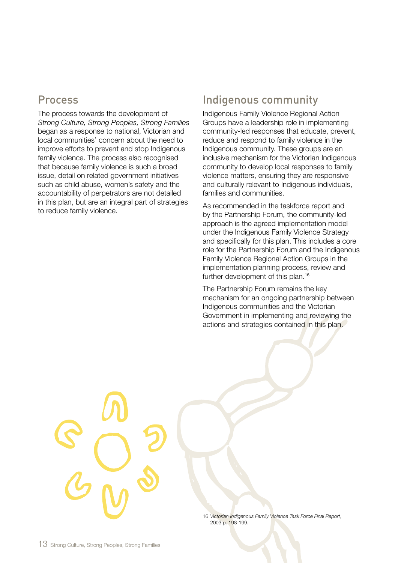#### Process

The process towards the development of *Strong Culture, Strong Peoples, Strong Families*  began as a response to national, Victorian and local communities' concern about the need to improve efforts to prevent and stop Indigenous family violence. The process also recognised that because family violence is such a broad issue, detail on related government initiatives such as child abuse, women's safety and the accountability of perpetrators are not detailed in this plan, but are an integral part of strategies to reduce family violence.

### Indigenous community

Indigenous Family Violence Regional Action Groups have a leadership role in implementing community-led responses that educate, prevent, reduce and respond to family violence in the Indigenous community. These groups are an inclusive mechanism for the Victorian Indigenous community to develop local responses to family violence matters, ensuring they are responsive and culturally relevant to Indigenous individuals, families and communities.

As recommended in the taskforce report and by the Partnership Forum, the community-led approach is the agreed implementation model under the Indigenous Family Violence Strategy and specifically for this plan. This includes a core role for the Partnership Forum and the Indigenous Family Violence Regional Action Groups in the implementation planning process, review and further development of this plan.<sup>16</sup>

The Partnership Forum remains the key mechanism for an ongoing partnership between Indigenous communities and the Victorian Government in implementing and reviewing the actions and strategies contained in this plan.

16 *Victorian Indigenous Family Violence Task Force Final Report*, 2003 p. 198-199.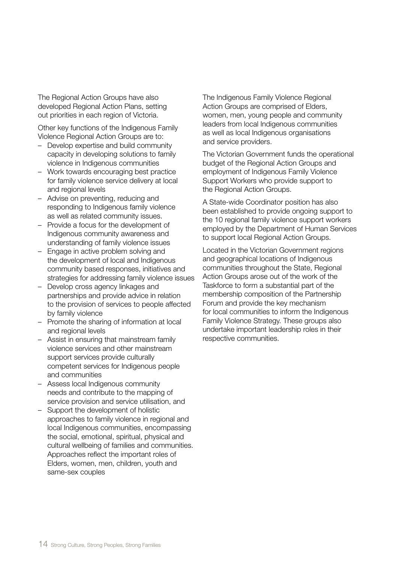The Regional Action Groups have also developed Regional Action Plans, setting out priorities in each region of Victoria.

Other key functions of the Indigenous Family Violence Regional Action Groups are to:

- Develop expertise and build community capacity in developing solutions to family violence in Indigenous communities
- Work towards encouraging best practice for family violence service delivery at local and regional levels
- Advise on preventing, reducing and responding to Indigenous family violence as well as related community issues.
- Provide a focus for the development of Indigenous community awareness and understanding of family violence issues
- Engage in active problem solving and the development of local and Indigenous community based responses, initiatives and strategies for addressing family violence issues
- Develop cross agency linkages and partnerships and provide advice in relation to the provision of services to people affected by family violence
- Promote the sharing of information at local and regional levels
- Assist in ensuring that mainstream family violence services and other mainstream support services provide culturally competent services for Indigenous people and communities
- Assess local Indigenous community needs and contribute to the mapping of service provision and service utilisation, and
- Support the development of holistic approaches to family violence in regional and local Indigenous communities, encompassing the social, emotional, spiritual, physical and cultural wellbeing of families and communities. Approaches reflect the important roles of Elders, women, men, children, youth and same-sex couples

The Indigenous Family Violence Regional Action Groups are comprised of Elders, women, men, young people and community leaders from local Indigenous communities as well as local Indigenous organisations and service providers.

The Victorian Government funds the operational budget of the Regional Action Groups and employment of Indigenous Family Violence Support Workers who provide support to the Regional Action Groups.

A State-wide Coordinator position has also been established to provide ongoing support to the 10 regional family violence support workers employed by the Department of Human Services to support local Regional Action Groups.

Located in the Victorian Government regions and geographical locations of Indigenous communities throughout the State, Regional Action Groups arose out of the work of the Taskforce to form a substantial part of the membership composition of the Partnership Forum and provide the key mechanism for local communities to inform the Indigenous Family Violence Strategy. These groups also undertake important leadership roles in their respective communities.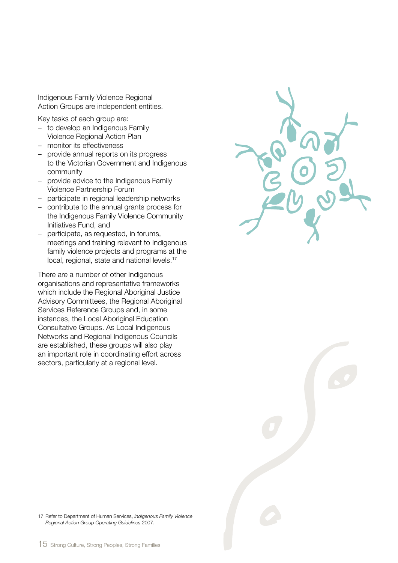Indigenous Family Violence Regional Action Groups are independent entities.

Key tasks of each group are:

- to develop an Indigenous Family Violence Regional Action Plan
- monitor its effectiveness
- provide annual reports on its progress to the Victorian Government and Indigenous community
- provide advice to the Indigenous Family Violence Partnership Forum
- participate in regional leadership networks
- contribute to the annual grants process for the Indigenous Family Violence Community Initiatives Fund, and
- participate, as requested, in forums, meetings and training relevant to Indigenous family violence projects and programs at the local, regional, state and national levels.<sup>17</sup>

There are a number of other Indigenous organisations and representative frameworks which include the Regional Aboriginal Justice Advisory Committees, the Regional Aboriginal Services Reference Groups and, in some instances, the Local Aboriginal Education Consultative Groups. As Local Indigenous Networks and Regional Indigenous Councils are established, these groups will also play an important role in coordinating effort across sectors, particularly at a regional level.

| G<br>$\hat{O}$ |
|----------------|
|                |

17 Refer to Department of Human Services, *Indigenous Family Violence Regional Action Group Operating Guidelines* 2007.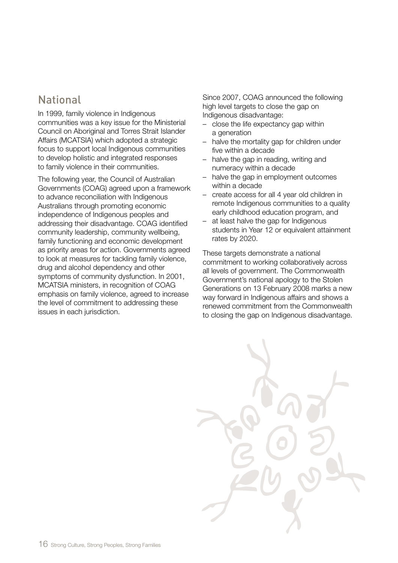### National

In 1999, family violence in Indigenous communities was a key issue for the Ministerial Council on Aboriginal and Torres Strait Islander Affairs (MCATSIA) which adopted a strategic focus to support local Indigenous communities to develop holistic and integrated responses to family violence in their communities.

The following year, the Council of Australian Governments (COAG) agreed upon a framework to advance reconciliation with Indigenous Australians through promoting economic independence of Indigenous peoples and addressing their disadvantage. COAG identified community leadership, community wellbeing, family functioning and economic development as priority areas for action. Governments agreed to look at measures for tackling family violence, drug and alcohol dependency and other symptoms of community dysfunction. In 2001, MCATSIA ministers, in recognition of COAG emphasis on family violence, agreed to increase the level of commitment to addressing these issues in each jurisdiction.

Since 2007, COAG announced the following high level targets to close the gap on Indigenous disadvantage:

- close the life expectancy gap within a generation
- halve the mortality gap for children under five within a decade
- halve the gap in reading, writing and numeracy within a decade
- halve the gap in employment outcomes within a decade
- create access for all 4 year old children in remote Indigenous communities to a quality early childhood education program, and
- at least halve the gap for Indigenous students in Year 12 or equivalent attainment rates by 2020.

These targets demonstrate a national commitment to working collaboratively across all levels of government. The Commonwealth Government's national apology to the Stolen Generations on 13 February 2008 marks a new way forward in Indigenous affairs and shows a renewed commitment from the Commonwealth to closing the gap on Indigenous disadvantage.

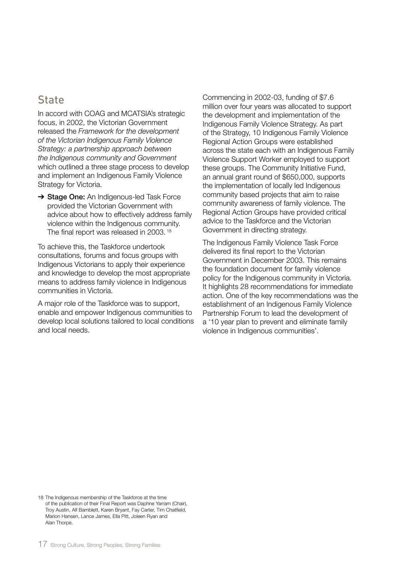#### **State**

In accord with COAG and MCATSIA's strategic focus, in 2002, the Victorian Government released the *Framework for the development of the Victorian Indigenous Family Violence Strategy: a partnership approach between the Indigenous community and Government* which outlined a three stage process to develop and implement an Indigenous Family Violence Strategy for Victoria.

➔ **Stage One:** An Indigenous-led Task Force provided the Victorian Government with advice about how to effectively address family violence within the Indigenous community. The final report was released in 2003.<sup>18</sup>

To achieve this, the Taskforce undertook consultations, forums and focus groups with Indigenous Victorians to apply their experience and knowledge to develop the most appropriate means to address family violence in Indigenous communities in Victoria.

A major role of the Taskforce was to support, enable and empower Indigenous communities to develop local solutions tailored to local conditions and local needs.

Commencing in 2002-03, funding of \$7.6 million over four years was allocated to support the development and implementation of the Indigenous Family Violence Strategy. As part of the Strategy, 10 Indigenous Family Violence Regional Action Groups were established across the state each with an Indigenous Family Violence Support Worker employed to support these groups. The Community Initiative Fund, an annual grant round of \$650,000, supports the implementation of locally led Indigenous community based projects that aim to raise community awareness of family violence. The Regional Action Groups have provided critical advice to the Taskforce and the Victorian Government in directing strategy.

The Indigenous Family Violence Task Force delivered its final report to the Victorian Government in December 2003. This remains the foundation document for family violence policy for the Indigenous community in Victoria. It highlights 28 recommendations for immediate action. One of the key recommendations was the establishment of an Indigenous Family Violence Partnership Forum to lead the development of a '10 year plan to prevent and eliminate family violence in Indigenous communities'.

<sup>18</sup> The Indigenous membership of the Taskforce at the time of the publication of their Final Report was Daphne Yarram (Chair), Troy Austin, Alf Bamblett, Karen Bryant, Fay Carter, Tim Chatfield, Marion Hansen, Lance James, Ella Pitt, Joleen Ryan and Alan Thorpe.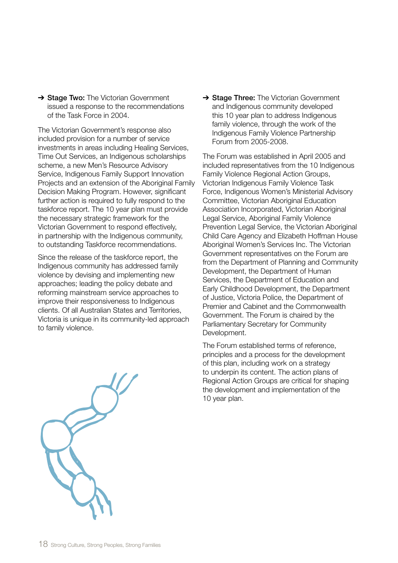**→ Stage Two:** The Victorian Government issued a response to the recommendations of the Task Force in 2004.

The Victorian Government's response also included provision for a number of service investments in areas including Healing Services, Time Out Services, an Indigenous scholarships scheme, a new Men's Resource Advisory Service, Indigenous Family Support Innovation Projects and an extension of the Aboriginal Family Decision Making Program. However, significant further action is required to fully respond to the taskforce report. The 10 year plan must provide the necessary strategic framework for the Victorian Government to respond effectively, in partnership with the Indigenous community, to outstanding Taskforce recommendations.

Since the release of the taskforce report, the Indigenous community has addressed family violence by devising and implementing new approaches; leading the policy debate and reforming mainstream service approaches to improve their responsiveness to Indigenous clients. Of all Australian States and Territories, Victoria is unique in its community-led approach to family violence.



➔ **Stage Three:** The Victorian Government and Indigenous community developed this 10 year plan to address Indigenous family violence, through the work of the Indigenous Family Violence Partnership Forum from 2005-2008.

The Forum was established in April 2005 and included representatives from the 10 Indigenous Family Violence Regional Action Groups, Victorian Indigenous Family Violence Task Force, Indigenous Women's Ministerial Advisory Committee, Victorian Aboriginal Education Association Incorporated, Victorian Aboriginal Legal Service, Aboriginal Family Violence Prevention Legal Service, the Victorian Aboriginal Child Care Agency and Elizabeth Hoffman House Aboriginal Women's Services Inc. The Victorian Government representatives on the Forum are from the Department of Planning and Community Development, the Department of Human Services, the Department of Education and Early Childhood Development, the Department of Justice, Victoria Police, the Department of Premier and Cabinet and the Commonwealth Government. The Forum is chaired by the Parliamentary Secretary for Community Development.

The Forum established terms of reference, principles and a process for the development of this plan, including work on a strategy to underpin its content. The action plans of Regional Action Groups are critical for shaping the development and implementation of the 10 year plan.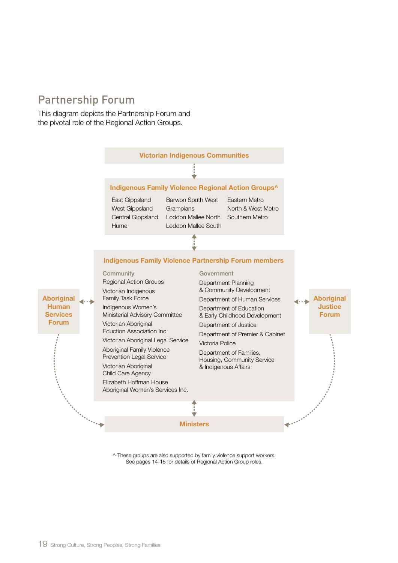### Partnership Forum

This diagram depicts the Partnership Forum and the pivotal role of the Regional Action Groups.



^ These groups are also supported by family violence support workers. See pages 14-15 for details of Regional Action Group roles.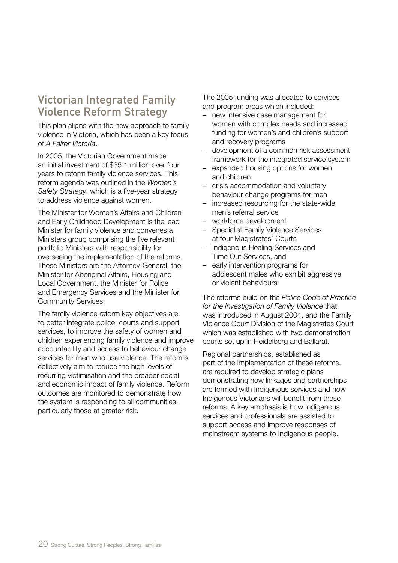### Victorian Integrated Family Violence Reform Strategy

This plan aligns with the new approach to family violence in Victoria, which has been a key focus of *A Fairer Victoria*.

In 2005, the Victorian Government made an initial investment of \$35.1 million over four years to reform family violence services. This reform agenda was outlined in the *Women's Safety Strategy*, which is a five-year strategy to address violence against women.

The Minister for Women's Affairs and Children and Early Childhood Development is the lead Minister for family violence and convenes a Ministers group comprising the five relevant portfolio Ministers with responsibility for overseeing the implementation of the reforms. These Ministers are the Attorney-General, the Minister for Aboriginal Affairs, Housing and Local Government, the Minister for Police and Emergency Services and the Minister for Community Services.

The family violence reform key objectives are to better integrate police, courts and support services, to improve the safety of women and children experiencing family violence and improve accountability and access to behaviour change services for men who use violence. The reforms collectively aim to reduce the high levels of recurring victimisation and the broader social and economic impact of family violence. Reform outcomes are monitored to demonstrate how the system is responding to all communities, particularly those at greater risk.

The 2005 funding was allocated to services and program areas which included:

- new intensive case management for women with complex needs and increased funding for women's and children's support and recovery programs
- development of a common risk assessment framework for the integrated service system
- expanded housing options for women and children
- crisis accommodation and voluntary behaviour change programs for men
- increased resourcing for the state-wide men's referral service
- workforce development
- Specialist Family Violence Services at four Magistrates' Courts
- Indigenous Healing Services and Time Out Services, and
- early intervention programs for adolescent males who exhibit aggressive or violent behaviours.

The reforms build on the *Police Code of Practice for the Investigation of Family Violence* that was introduced in August 2004, and the Family Violence Court Division of the Magistrates Court which was established with two demonstration courts set up in Heidelberg and Ballarat.

Regional partnerships, established as part of the implementation of these reforms, are required to develop strategic plans demonstrating how linkages and partnerships are formed with Indigenous services and how Indigenous Victorians will benefit from these reforms. A key emphasis is how Indigenous services and professionals are assisted to support access and improve responses of mainstream systems to Indigenous people.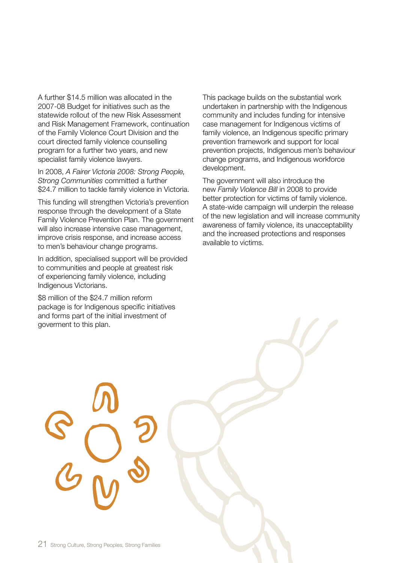A further \$14.5 million was allocated in the 2007-08 Budget for initiatives such as the statewide rollout of the new Risk Assessment and Risk Management Framework, continuation of the Family Violence Court Division and the court directed family violence counselling program for a further two years, and new specialist family violence lawyers.

In 2008, *A Fairer Victoria 2008: Strong People, Strong Communities* committed a further \$24.7 million to tackle family violence in Victoria.

This funding will strengthen Victoria's prevention response through the development of a State Family Violence Prevention Plan. The government will also increase intensive case management. improve crisis response, and increase access to men's behaviour change programs.

In addition, specialised support will be provided to communities and people at greatest risk of experiencing family violence, including Indigenous Victorians.

\$8 million of the \$24.7 million reform package is for Indigenous specific initiatives and forms part of the initial investment of goverment to this plan.

This package builds on the substantial work undertaken in partnership with the Indigenous community and includes funding for intensive case management for Indigenous victims of family violence, an Indigenous specific primary prevention framework and support for local prevention projects, Indigenous men's behaviour change programs, and Indigenous workforce development.

The government will also introduce the new *Family Violence Bill* in 2008 to provide better protection for victims of family violence. A state-wide campaign will underpin the release of the new legislation and will increase community awareness of family violence, its unacceptability and the increased protections and responses available to victims.

21 Strong Culture, Strong Peoples, Strong Families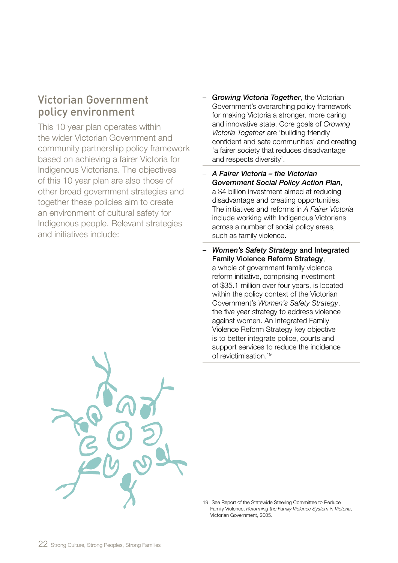### Victorian Government policy environment

This 10 year plan operates within the wider Victorian Government and community partnership policy framework based on achieving a fairer Victoria for Indigenous Victorians. The objectives of this 10 year plan are also those of other broad government strategies and together these policies aim to create an environment of cultural safety for Indigenous people. Relevant strategies and initiatives include:

- *Growing Victoria Together*, the Victorian Government's overarching policy framework for making Victoria a stronger, more caring and innovative state. Core goals of *Growing Victoria Together* are 'building friendly confident and safe communities' and creating 'a fairer society that reduces disadvantage and respects diversity'.
- *A Fairer Victoria the Victorian Government Social Policy Action Plan*, a \$4 billion investment aimed at reducing disadvantage and creating opportunities. The initiatives and reforms in *A Fairer Victoria* include working with Indigenous Victorians across a number of social policy areas, such as family violence.
- *Women's Safety Strategy* **and Integrated Family Violence Reform Strategy**, a whole of government family violence reform initiative, comprising investment of \$35.1 million over four years, is located within the policy context of the Victorian Government's *Women's Safety Strategy*, the five year strategy to address violence against women. An Integrated Family Violence Reform Strategy key objective is to better integrate police, courts and support services to reduce the incidence of revictimisation.<sup>19</sup>



19 See Report of the Statewide Steering Committee to Reduce Family Violence, *Reforming the Family Violence System in Victoria*, Victorian Government, 2005.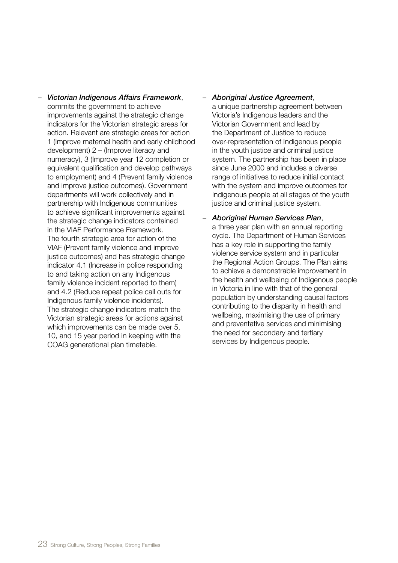- *Victorian Indigenous Affairs Framework*, commits the government to achieve improvements against the strategic change indicators for the Victorian strategic areas for action. Relevant are strategic areas for action 1 (Improve maternal health and early childhood development) 2 – (Improve literacy and numeracy), 3 (Improve year 12 completion or equivalent qualification and develop pathways to employment) and 4 (Prevent family violence and improve justice outcomes). Government departments will work collectively and in partnership with Indigenous communities to achieve significant improvements against the strategic change indicators contained in the VIAF Performance Framework. The fourth strategic area for action of the VIAF (Prevent family violence and improve justice outcomes) and has strategic change indicator 4.1 (Increase in police responding to and taking action on any Indigenous family violence incident reported to them) and 4.2 (Reduce repeat police call outs for Indigenous family violence incidents). The strategic change indicators match the Victorian strategic areas for actions against which improvements can be made over 5. 10, and 15 year period in keeping with the COAG generational plan timetable.
- *Aboriginal Justice Agreement*, a unique partnership agreement between Victoria's Indigenous leaders and the Victorian Government and lead by the Department of Justice to reduce over-representation of Indigenous people in the youth justice and criminal justice system. The partnership has been in place since June 2000 and includes a diverse range of initiatives to reduce initial contact with the system and improve outcomes for Indigenous people at all stages of the youth justice and criminal justice system.
- *Aboriginal Human Services Plan*, a three year plan with an annual reporting cycle. The Department of Human Services has a key role in supporting the family violence service system and in particular the Regional Action Groups. The Plan aims to achieve a demonstrable improvement in the health and wellbeing of Indigenous people in Victoria in line with that of the general population by understanding causal factors contributing to the disparity in health and wellbeing, maximising the use of primary and preventative services and minimising the need for secondary and tertiary services by Indigenous people.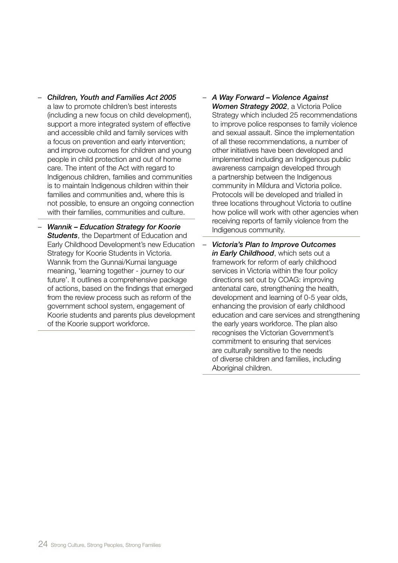- *Children, Youth and Families Act 2005* a law to promote children's best interests (including a new focus on child development), support a more integrated system of effective and accessible child and family services with a focus on prevention and early intervention; and improve outcomes for children and young people in child protection and out of home care. The intent of the Act with regard to Indigenous children, families and communities is to maintain Indigenous children within their families and communities and, where this is not possible, to ensure an ongoing connection with their families, communities and culture.
- *Wannik Education Strategy for Koorie*  **Students**, the Department of Education and Early Childhood Development's new Education Strategy for Koorie Students in Victoria. Wannik from the Gunnai/Kurnai language meaning, 'learning together - journey to our future'. It outlines a comprehensive package of actions, based on the findings that emerged from the review process such as reform of the government school system, engagement of Koorie students and parents plus development of the Koorie support workforce.
- *A Way Forward Violence Against Women Strategy 2002*, a Victoria Police Strategy which included 25 recommendations to improve police responses to family violence and sexual assault. Since the implementation of all these recommendations, a number of other initiatives have been developed and implemented including an Indigenous public awareness campaign developed through a partnership between the Indigenous community in Mildura and Victoria police. Protocols will be developed and trialled in three locations throughout Victoria to outline how police will work with other agencies when receiving reports of family violence from the Indigenous community.
- *Victoria's Plan to Improve Outcomes in Early Childhood*, which sets out a framework for reform of early childhood services in Victoria within the four policy directions set out by COAG: improving antenatal care, strengthening the health, development and learning of 0-5 year olds, enhancing the provision of early childhood education and care services and strengthening the early years workforce. The plan also recognises the Victorian Government's commitment to ensuring that services are culturally sensitive to the needs of diverse children and families, including Aboriginal children.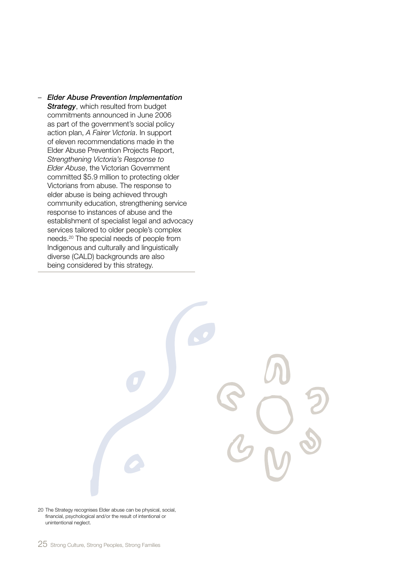– *Elder Abuse Prevention Implementation*  **Strategy**, which resulted from budget commitments announced in June 2006 as part of the government's social policy action plan, *A Fairer Victoria*. In support of eleven recommendations made in the Elder Abuse Prevention Projects Report, *Strengthening Victoria's Response to Elder Abuse*, the Victorian Government committed \$5.9 million to protecting older Victorians from abuse. The response to elder abuse is being achieved through community education, strengthening service response to instances of abuse and the establishment of specialist legal and advocacy services tailored to older people's complex needs.20 The special needs of people from Indigenous and culturally and linguistically diverse (CALD) backgrounds are also being considered by this strategy.

20 The Strategy recognises Elder abuse can be physical, social, financial, psychological and/or the result of intentional or unintentional neglect.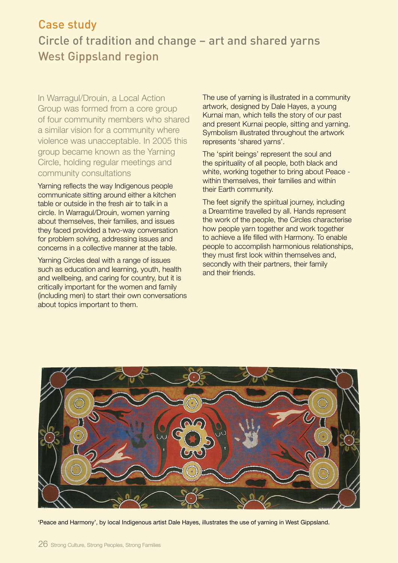# Case study Circle of tradition and change – art and shared yarns West Gippsland region

In Warragul/Drouin, a Local Action Group was formed from a core group of four community members who shared a similar vision for a community where violence was unacceptable. In 2005 this group became known as the Yarning Circle, holding regular meetings and community consultations

Yarning reflects the way Indigenous people communicate sitting around either a kitchen table or outside in the fresh air to talk in a circle. In Warragul/Drouin, women yarning about themselves, their families, and issues they faced provided a two-way conversation for problem solving, addressing issues and concerns in a collective manner at the table.

Yarning Circles deal with a range of issues such as education and learning, youth, health and wellbeing, and caring for country, but it is critically important for the women and family (including men) to start their own conversations about topics important to them.

The use of yarning is illustrated in a community artwork, designed by Dale Hayes, a young Kurnai man, which tells the story of our past and present Kurnai people, sitting and yarning. Symbolism illustrated throughout the artwork represents 'shared yarns'.

The 'spirit beings' represent the soul and the spirituality of all people, both black and white, working together to bring about Peace within themselves, their families and within their Earth community.

The feet signify the spiritual journey, including a Dreamtime travelled by all. Hands represent the work of the people, the Circles characterise how people yarn together and work together to achieve a life filled with Harmony. To enable people to accomplish harmonious relationships, they must first look within themselves and, secondly with their partners, their family and their friends.



'Peace and Harmony', by local Indigenous artist Dale Hayes, illustrates the use of yarning in West Gippsland.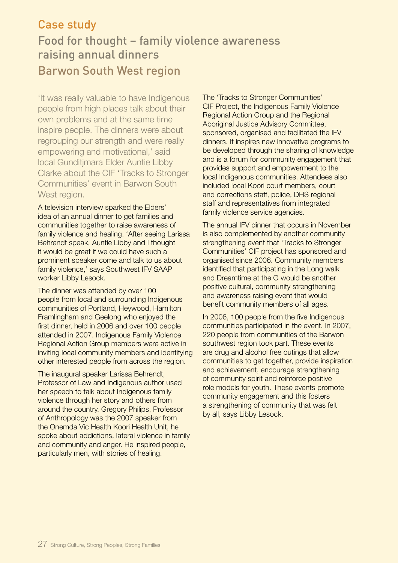# Case study Food for thought – family violence awareness raising annual dinners Barwon South West region

'It was really valuable to have Indigenous people from high places talk about their own problems and at the same time inspire people. The dinners were about regrouping our strength and were really empowering and motivational,' said local Gunditjmara Elder Auntie Libby Clarke about the CIF 'Tracks to Stronger Communities' event in Barwon South West region.

A television interview sparked the Elders' idea of an annual dinner to get families and communities together to raise awareness of family violence and healing. 'After seeing Larissa Behrendt speak, Auntie Libby and I thought it would be great if we could have such a prominent speaker come and talk to us about family violence,' says Southwest IFV SAAP worker Libby Lesock.

The dinner was attended by over 100 people from local and surrounding Indigenous communities of Portland, Heywood, Hamilton Framlingham and Geelong who enjoyed the first dinner, held in 2006 and over 100 people attended in 2007. Indigenous Family Violence Regional Action Group members were active in inviting local community members and identifying other interested people from across the region.

The inaugural speaker Larissa Behrendt, Professor of Law and Indigenous author used her speech to talk about Indigenous family violence through her story and others from around the country. Gregory Philips, Professor of Anthropology was the 2007 speaker from the Onemda Vic Health Koori Health Unit, he spoke about addictions, lateral violence in family and community and anger. He inspired people, particularly men, with stories of healing.

The 'Tracks to Stronger Communities' CIF Project, the Indigenous Family Violence Regional Action Group and the Regional Aboriginal Justice Advisory Committee, sponsored, organised and facilitated the IFV dinners. It inspires new innovative programs to be developed through the sharing of knowledge and is a forum for community engagement that provides support and empowerment to the local Indigenous communities. Attendees also included local Koori court members, court and corrections staff, police, DHS regional staff and representatives from integrated family violence service agencies.

The annual IFV dinner that occurs in November is also complemented by another community strengthening event that 'Tracks to Stronger Communities' CIF project has sponsored and organised since 2006. Community members identified that participating in the Long walk and Dreamtime at the G would be another positive cultural, community strengthening and awareness raising event that would benefit community members of all ages.

In 2006, 100 people from the five Indigenous communities participated in the event. In 2007, 220 people from communities of the Barwon southwest region took part. These events are drug and alcohol free outings that allow communities to get together, provide inspiration and achievement, encourage strengthening of community spirit and reinforce positive role models for youth. These events promote community engagement and this fosters a strengthening of community that was felt by all, says Libby Lesock.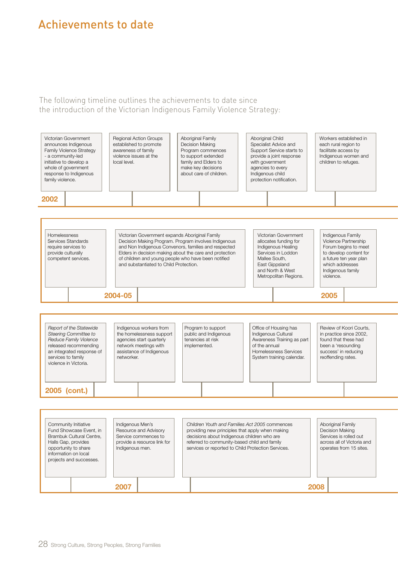### Achievements to date

The following timeline outlines the achievements to date since the introduction of the Victorian Indigenous Family Violence Strategy:

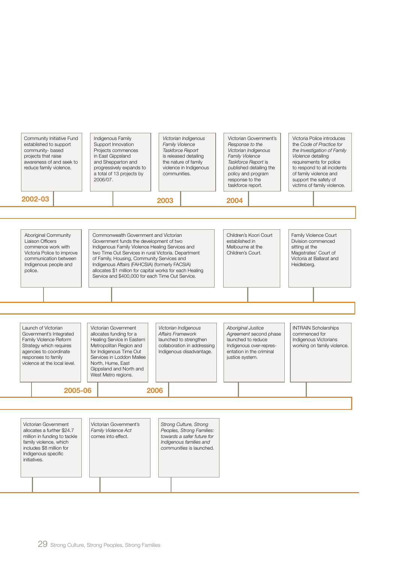

#### 29 Strong Culture, Strong Peoples, Strong Families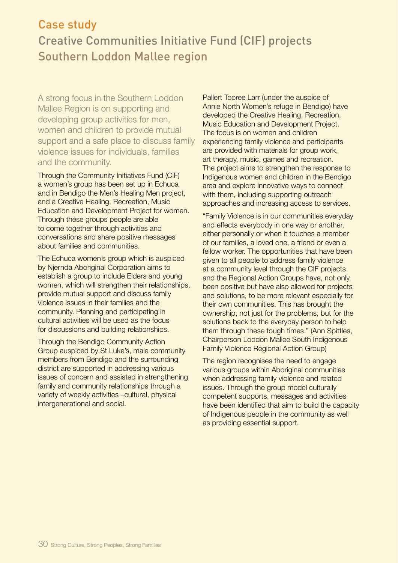# Case study Creative Communities Initiative Fund (CIF) projects Southern Loddon Mallee region

A strong focus in the Southern Loddon Mallee Region is on supporting and developing group activities for men, women and children to provide mutual support and a safe place to discuss family violence issues for individuals, families and the community.

Through the Community Initiatives Fund (CIF) a women's group has been set up in Echuca and in Bendigo the Men's Healing Men project, and a Creative Healing, Recreation, Music Education and Development Project for women. Through these groups people are able to come together through activities and conversations and share positive messages about families and communities.

The Echuca women's group which is auspiced by Njernda Aboriginal Corporation aims to establish a group to include Elders and young women, which will strengthen their relationships, provide mutual support and discuss family violence issues in their families and the community. Planning and participating in cultural activities will be used as the focus for discussions and building relationships.

Through the Bendigo Community Action Group auspiced by St Luke's, male community members from Bendigo and the surrounding district are supported in addressing various issues of concern and assisted in strengthening family and community relationships through a variety of weekly activities –cultural, physical intergenerational and social.

Pallert Tooree Larr (under the auspice of Annie North Women's refuge in Bendigo) have developed the Creative Healing, Recreation, Music Education and Development Project. The focus is on women and children experiencing family violence and participants are provided with materials for group work, art therapy, music, games and recreation. The project aims to strengthen the response to Indigenous women and children in the Bendigo area and explore innovative ways to connect with them, including supporting outreach approaches and increasing access to services.

"Family Violence is in our communities everyday and effects everybody in one way or another, either personally or when it touches a member of our families, a loved one, a friend or even a fellow worker. The opportunities that have been given to all people to address family violence at a community level through the CIF projects and the Regional Action Groups have, not only, been positive but have also allowed for projects and solutions, to be more relevant especially for their own communities. This has brought the ownership, not just for the problems, but for the solutions back to the everyday person to help them through these tough times." (Ann Spittles, Chairperson Loddon Mallee South Indigenous Family Violence Regional Action Group)

The region recognises the need to engage various groups within Aboriginal communities when addressing family violence and related issues. Through the group model culturally competent supports, messages and activities have been identified that aim to build the capacity of Indigenous people in the community as well as providing essential support.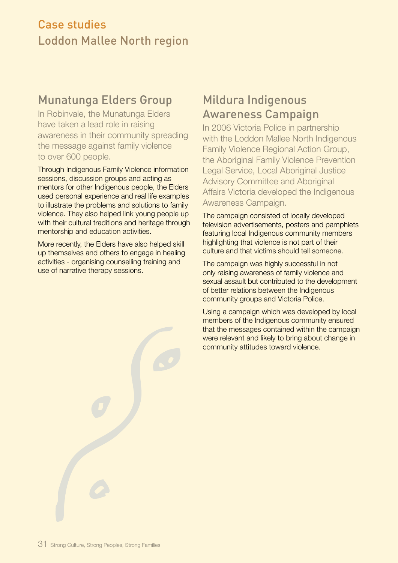# Case studies Loddon Mallee North region

# Munatunga Elders Group

In Robinvale, the Munatunga Elders have taken a lead role in raising awareness in their community spreading the message against family violence to over 600 people.

Through Indigenous Family Violence information sessions, discussion groups and acting as mentors for other Indigenous people, the Elders used personal experience and real life examples to illustrate the problems and solutions to family violence. They also helped link young people up with their cultural traditions and heritage through mentorship and education activities.

More recently, the Elders have also helped skill up themselves and others to engage in healing activities - organising counselling training and use of narrative therapy sessions.

# Mildura Indigenous Awareness Campaign

In 2006 Victoria Police in partnership with the Loddon Mallee North Indigenous Family Violence Regional Action Group, the Aboriginal Family Violence Prevention Legal Service, Local Aboriginal Justice Advisory Committee and Aboriginal Affairs Victoria developed the Indigenous Awareness Campaign.

The campaign consisted of locally developed television advertisements, posters and pamphlets featuring local Indigenous community members highlighting that violence is not part of their culture and that victims should tell someone.

The campaign was highly successful in not only raising awareness of family violence and sexual assault but contributed to the development of better relations between the Indigenous community groups and Victoria Police.

Using a campaign which was developed by local members of the Indigenous community ensured that the messages contained within the campaign were relevant and likely to bring about change in community attitudes toward violence.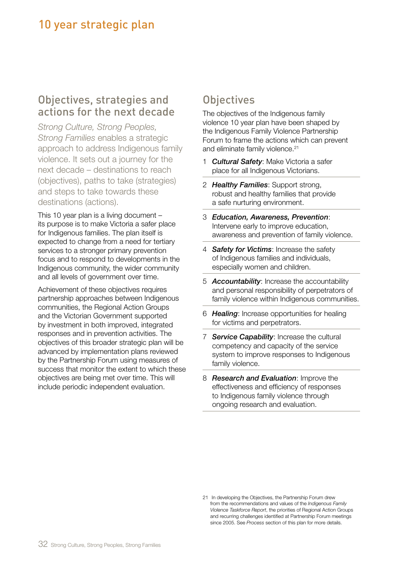### 10 year strategic plan

#### Objectives, strategies and actions for the next decade

*Strong Culture, Strong Peoples, Strong Families* enables a strategic approach to address Indigenous family violence. It sets out a journey for the next decade – destinations to reach (objectives), paths to take (strategies) and steps to take towards these destinations (actions).

This 10 year plan is a living document – its purpose is to make Victoria a safer place for Indigenous families. The plan itself is expected to change from a need for tertiary services to a stronger primary prevention focus and to respond to developments in the Indigenous community, the wider community and all levels of government over time.

Achievement of these objectives requires partnership approaches between Indigenous communities, the Regional Action Groups and the Victorian Government supported by investment in both improved, integrated responses and in prevention activities. The objectives of this broader strategic plan will be advanced by implementation plans reviewed by the Partnership Forum using measures of success that monitor the extent to which these objectives are being met over time. This will include periodic independent evaluation.

### **Objectives**

The objectives of the Indigenous family violence 10 year plan have been shaped by the Indigenous Family Violence Partnership Forum to frame the actions which can prevent and eliminate family violence.<sup>21</sup>

- 1 *Cultural Safety*: Make Victoria a safer place for all Indigenous Victorians.
- 2 *Healthy Families*: Support strong, robust and healthy families that provide a safe nurturing environment.
- 3 *Education, Awareness, Prevention*: Intervene early to improve education, awareness and prevention of family violence.
- 4 *Safety for Victims*: Increase the safety of Indigenous families and individuals, especially women and children.
- 5 *Accountability*: Increase the accountability and personal responsibility of perpetrators of family violence within Indigenous communities.
- 6 *Healing*: Increase opportunities for healing for victims and perpetrators.
- 7 *Service Capability*: Increase the cultural competency and capacity of the service system to improve responses to Indigenous family violence.
- 8 *Research and Evaluation*: Improve the effectiveness and efficiency of responses to Indigenous family violence through ongoing research and evaluation.

<sup>21</sup> In developing the Objectives, the Partnership Forum drew from the recommendations and values of the *Indigenous Family Violence Taskforce Report*, the priorities of Regional Action Groups and recurring challenges identified at Partnership Forum meetings since 2005. See *Process* section of this plan for more details.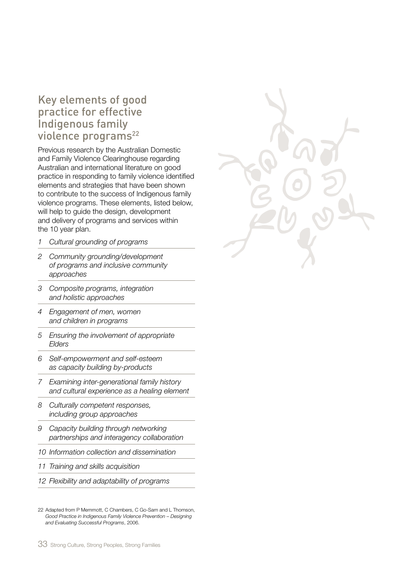#### Key elements of good practice for effective Indigenous family violence programs<sup>22</sup>

Previous research by the Australian Domestic and Family Violence Clearinghouse regarding Australian and international literature on good practice in responding to family violence identified elements and strategies that have been shown to contribute to the success of Indigenous family violence programs. These elements, listed below, will help to quide the design, development and delivery of programs and services within the 10 year plan.

- *1 Cultural grounding of programs*
- *2 Community grounding/development of programs and inclusive community approaches*
- *3 Composite programs, integration and holistic approaches*
- *4 Engagement of men, women and children in programs*
- *5 Ensuring the involvement of appropriate Elders*
- *6 Self-empowerment and self-esteem as capacity building by-products*
- *7 Examining inter-generational family history and cultural experience as a healing element*
- *8 Culturally competent responses, including group approaches*
- *9 Capacity building through networking partnerships and interagency collaboration*
- *10 Information collection and dissemination*
- *11 Training and skills acquisition*
- *12 Flexibility and adaptability of programs*

<sup>22</sup> Adapted from P Memmott, C Chambers, C Go-Sam and L Thomson, *Good Practice in Indigenous Family Violence Prevention – Designing and Evaluating Successful Programs*, 2006.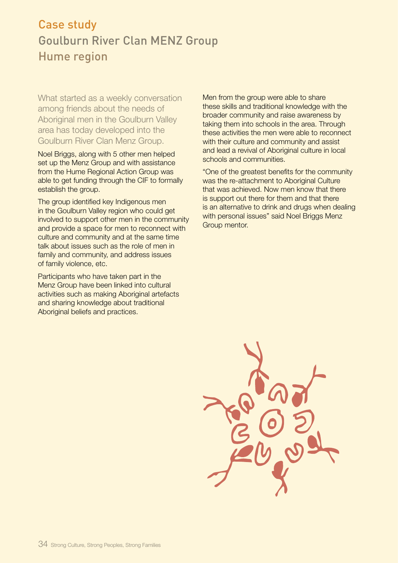# Case study Goulburn River Clan MENZ Group Hume region

What started as a weekly conversation among friends about the needs of Aboriginal men in the Goulburn Valley area has today developed into the Goulburn River Clan Menz Group.

Noel Briggs, along with 5 other men helped set up the Menz Group and with assistance from the Hume Regional Action Group was able to get funding through the CIF to formally establish the group.

The group identified key Indigenous men in the Goulburn Valley region who could get involved to support other men in the community and provide a space for men to reconnect with culture and community and at the same time talk about issues such as the role of men in family and community, and address issues of family violence, etc.

Participants who have taken part in the Menz Group have been linked into cultural activities such as making Aboriginal artefacts and sharing knowledge about traditional Aboriginal beliefs and practices.

Men from the group were able to share these skills and traditional knowledge with the broader community and raise awareness by taking them into schools in the area. Through these activities the men were able to reconnect with their culture and community and assist and lead a revival of Aboriginal culture in local schools and communities.

"One of the greatest benefits for the community was the re-attachment to Aboriginal Culture that was achieved. Now men know that there is support out there for them and that there is an alternative to drink and drugs when dealing with personal issues" said Noel Briggs Menz Group mentor.

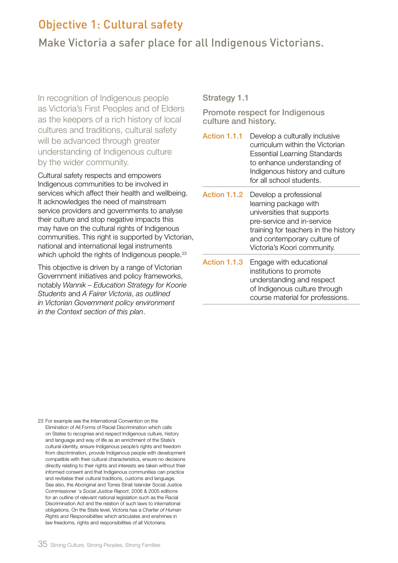### Objective 1: Cultural safety

### Make Victoria a safer place for all Indigenous Victorians.

In recognition of Indigenous people as Victoria's First Peoples and of Elders as the keepers of a rich history of local cultures and traditions, cultural safety will be advanced through greater understanding of Indigenous culture by the wider community.

Cultural safety respects and empowers Indigenous communities to be involved in services which affect their health and wellbeing. It acknowledges the need of mainstream service providers and governments to analyse their culture and stop negative impacts this may have on the cultural rights of Indigenous communities. This right is supported by Victorian, national and international legal instruments which uphold the rights of Indigenous people.<sup>23</sup>

This objective is driven by a range of Victorian Government initiatives and policy frameworks, notably *Wannik – Education Strategy for Koorie Students* and *A Fairer Victoria*, *as outlined in Victorian Government policy environment in the Context section of this plan*.

**Strategy 1.1**

**Promote respect for Indigenous culture and history.** 

**Action 1.1.1** Develop a culturally inclusive curriculum within the Victorian Essential Learning Standards to enhance understanding of Indigenous history and culture for all school students. **Action 1.1.2** Develop a professional learning package with universities that supports pre-service and in-service training for teachers in the history and contemporary culture of Victoria's Koori community. **Action 1.1.3** Engage with educational institutions to promote understanding and respect of Indigenous culture through course material for professions.

23 For example see the International Convention on the Elimination of All Forms of Racial Discrimination which calls on States to recognise and respect Indigenous culture, history and language and way of life as an enrichment of the State's cultural identity, ensure Indigenous people's rights and freedom from discrimination, provide Indigenous people with development compatible with their cultural characteristics, ensure no decisions directly relating to their rights and interests are taken without their informed consent and that Indigenous communities can practice and revitalise their cultural traditions, customs and language. See also, the Aboriginal and Torres Strait Islander Social Justice Commissioner 's *Social Justice Report*, 2006 & 2005 editions for an outline of relevant national legislation such as the Racial Discrimination Act and the relation of such laws to international obligations. On the State level, Victoria has a *Charter of Human Rights and Responsibilities* which articulates and enshrines in law freedoms, rights and responsibilities of all Victorians.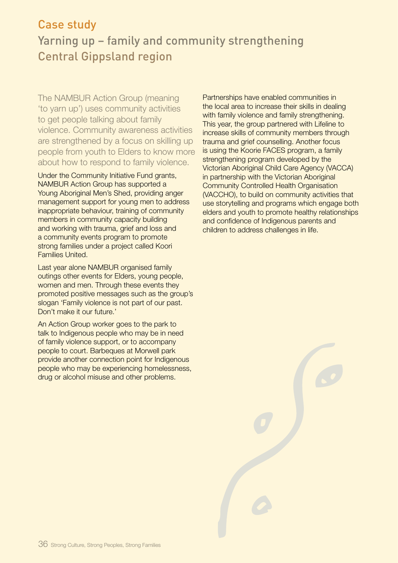# Case study Yarning up – family and community strengthening Central Gippsland region

The NAMBUR Action Group (meaning 'to yarn up') uses community activities to get people talking about family violence. Community awareness activities are strengthened by a focus on skilling up people from youth to Elders to know more about how to respond to family violence.

Under the Community Initiative Fund grants, NAMBUR Action Group has supported a Young Aboriginal Men's Shed, providing anger management support for young men to address inappropriate behaviour, training of community members in community capacity building and working with trauma, grief and loss and a community events program to promote strong families under a project called Koori Families United.

Last year alone NAMBUR organised family outings other events for Elders, young people, women and men. Through these events they promoted positive messages such as the group's slogan 'Family violence is not part of our past. Don't make it our future.'

An Action Group worker goes to the park to talk to Indigenous people who may be in need of family violence support, or to accompany people to court. Barbeques at Morwell park provide another connection point for Indigenous people who may be experiencing homelessness, drug or alcohol misuse and other problems.

Partnerships have enabled communities in the local area to increase their skills in dealing with family violence and family strengthening. This year, the group partnered with Lifeline to increase skills of community members through trauma and grief counselling. Another focus is using the Koorie FACES program, a family strengthening program developed by the Victorian Aboriginal Child Care Agency (VACCA) in partnership with the Victorian Aboriginal Community Controlled Health Organisation (VACCHO), to build on community activities that use storytelling and programs which engage both elders and youth to promote healthy relationships and confidence of Indigenous parents and children to address challenges in life.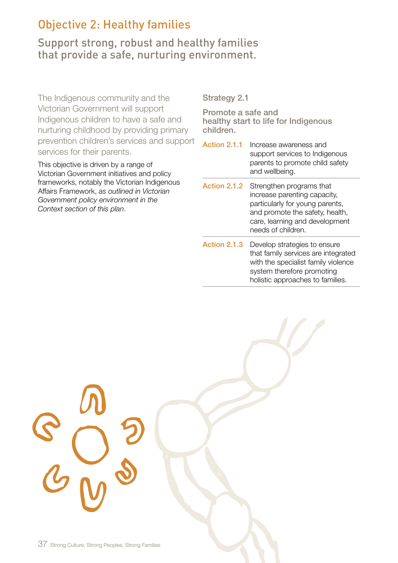# Objective 2: Healthy families

### Support strong, robust and healthy families that provide a safe, nurturing environment.

The Indigenous community and the Victorian Government will support Indigenous children to have a safe and nurturing childhood by providing primary prevention children's services and support services for their parents.

This objective is driven by a range of Victorian Government initiatives and policy frameworks, notably the Victorian Indigenous Affairs Framework, *as outlined in Victorian Government policy environment in the Context section of this plan*.

**Strategy 2.1** 

**Promote a safe and healthy start to life for Indigenous children.** 

**Action 2.1.1** Increase awareness and support services to Indigenous parents to promote child safety and wellbeing.

- **Action 2.1.2** Strengthen programs that increase parenting capacity, particularly for young parents, and promote the safety, health, care, learning and development needs of children. **Action 2.1.3** Develop strategies to ensure
- that family services are integrated with the specialist family violence system therefore promoting holistic approaches to families.

 $\frac{1}{2}$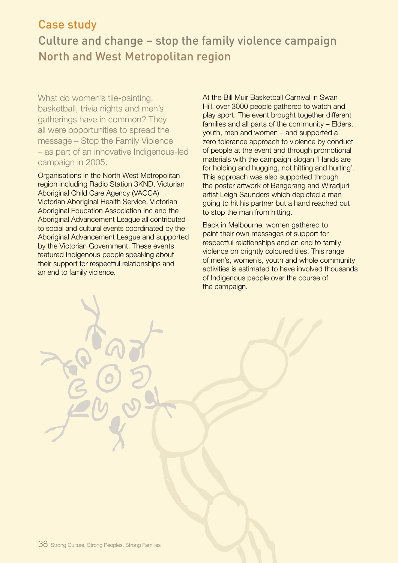### Case study

Culture and change – stop the family violence campaign North and West Metropolitan region

What do women's tile-painting, basketball, trivia nights and men's gatherings have in common? They all were opportunities to spread the message – Stop the Family Violence – as part of an innovative Indigenous-led campaign in 2005.

Organisations in the North West Metropolitan region including Radio Station 3KND, Victorian Aboriginal Child Care Agency (VACCA) Victorian Aboriginal Health Service, Victorian Aboriginal Education Association Inc and the Aboriginal Advancement League all contributed to social and cultural events coordinated by the Aboriginal Advancement League and supported by the Victorian Government. These events featured Indigenous people speaking about their support for respectful relationships and an end to family violence.

At the Bill Muir Basketball Carnival in Swan Hill, over 3000 people gathered to watch and play sport. The event brought together different families and all parts of the community – Elders, youth, men and women – and supported a zero tolerance approach to violence by conduct of people at the event and through promotional materials with the campaign slogan 'Hands are for holding and hugging, not hitting and hurting'. This approach was also supported through the poster artwork of Bangerang and Wiradjuri artist Leigh Saunders which depicted a man going to hit his partner but a hand reached out to stop the man from hitting.

Back in Melbourne, women gathered to paint their own messages of support for respectful relationships and an end to family violence on brightly coloured tiles. This range of men's, women's, youth and whole community activities is estimated to have involved thousands of Indigenous people over the course of the campaign.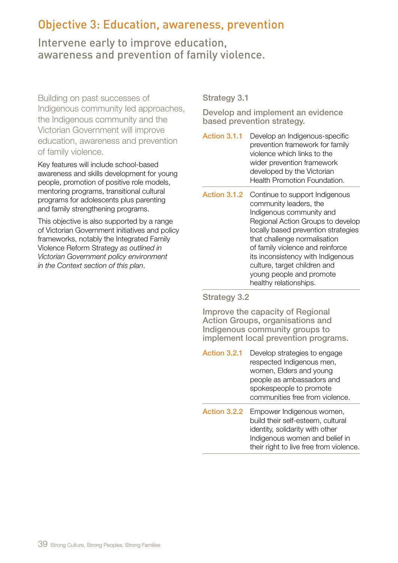### Objective 3: Education, awareness, prevention

#### Intervene early to improve education, awareness and prevention of family violence.

Building on past successes of Indigenous community led approaches, the Indigenous community and the Victorian Government will improve education, awareness and prevention of family violence.

Key features will include school-based awareness and skills development for young people, promotion of positive role models, mentoring programs, transitional cultural programs for adolescents plus parenting and family strengthening programs.

This objective is also supported by a range of Victorian Government initiatives and policy frameworks, notably the Integrated Family Violence Reform Strategy *as outlined in Victorian Government policy environment in the Context section of this plan*.

**Strategy 3.1** 

**Develop and implement an evidence based prevention strategy.**

- **Action 3.1.1** Develop an Indigenous-specific prevention framework for family violence which links to the wider prevention framework developed by the Victorian Health Promotion Foundation.
- Action 3.1.2 Continue to support Indigenous community leaders, the Indigenous community and Regional Action Groups to develop locally based prevention strategies that challenge normalisation of family violence and reinforce its inconsistency with Indigenous culture, target children and young people and promote healthy relationships.

#### **Strategy 3.2**

**Improve the capacity of Regional Action Groups, organisations and Indigenous community groups to implement local prevention programs.**

| Action 3.2.1 | Develop strategies to engage<br>respected Indigenous men,<br>women, Elders and young<br>people as ambassadors and<br>spokespeople to promote<br>communities free from violence. |
|--------------|---------------------------------------------------------------------------------------------------------------------------------------------------------------------------------|
| Action 3.2.2 | Empower Indigenous women,<br>build their self-esteem, cultural<br>identity, solidarity with other<br>Indigenous women and belief in<br>their right to live free from violence.  |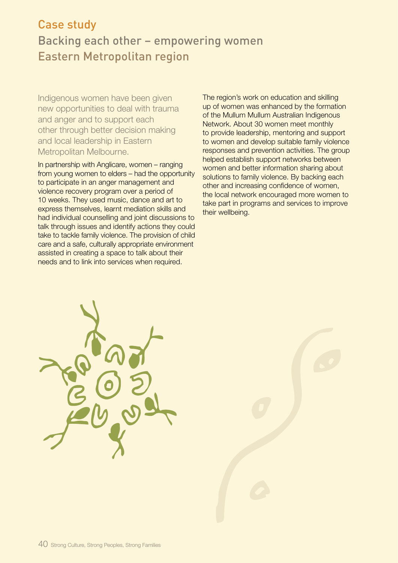# Case study Backing each other – empowering women Eastern Metropolitan region

Indigenous women have been given new opportunities to deal with trauma and anger and to support each other through better decision making and local leadership in Eastern Metropolitan Melbourne.

In partnership with Anglicare, women – ranging from young women to elders – had the opportunity to participate in an anger management and violence recovery program over a period of 10 weeks. They used music, dance and art to express themselves, learnt mediation skills and had individual counselling and joint discussions to talk through issues and identify actions they could take to tackle family violence. The provision of child care and a safe, culturally appropriate environment assisted in creating a space to talk about their needs and to link into services when required.

The region's work on education and skilling up of women was enhanced by the formation of the Mullum Mullum Australian Indigenous Network. About 30 women meet monthly to provide leadership, mentoring and support to women and develop suitable family violence responses and prevention activities. The group helped establish support networks between women and better information sharing about solutions to family violence. By backing each other and increasing confidence of women, the local network encouraged more women to take part in programs and services to improve their wellbeing.

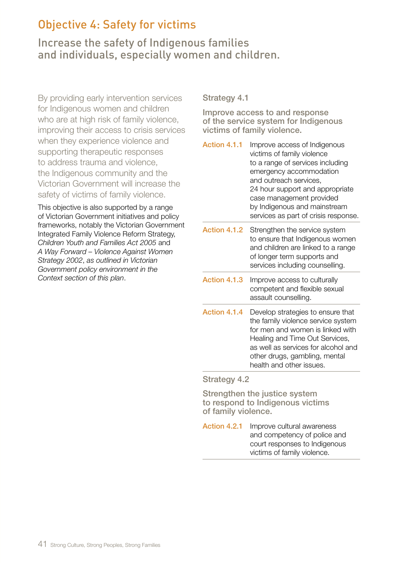# Objective 4: Safety for victims

Increase the safety of Indigenous families and individuals, especially women and children.

By providing early intervention services for Indigenous women and children who are at high risk of family violence, improving their access to crisis services when they experience violence and supporting therapeutic responses to address trauma and violence, the Indigenous community and the Victorian Government will increase the safety of victims of family violence.

This objective is also supported by a range of Victorian Government initiatives and policy frameworks, notably the Victorian Government Integrated Family Violence Reform Strategy, *Children Youth and Families Act 2005* and *A Way Forward – Violence Against Women Strategy 2002*, *as outlined in Victorian Government policy environment in the Context section of this plan*.

**Strategy 4.1** 

**Improve access to and response of the service system for Indigenous victims of family violence.**

| Action 4.1.1 | Improve access of Indigenous         |
|--------------|--------------------------------------|
|              | victims of family violence           |
|              | to a range of services including     |
|              | emergency accommodation              |
|              | and outreach services,               |
|              | 24 hour support and appropriate      |
|              | case management provided             |
|              | by Indigenous and mainstream         |
|              | services as part of crisis response. |
| Action 4.1.2 | Strengthen the service system        |
|              | to ensure that Indigenous women      |
|              | and children are linked to a range   |
|              | of longer term supports and          |

- services including counselling. **Action 4.1.3** Improve access to culturally competent and flexible sexual assault counselling.
- **Action 4.1.4** Develop strategies to ensure that the family violence service system for men and women is linked with Healing and Time Out Services, as well as services for alcohol and other drugs, gambling, mental health and other issues.

#### **Strategy 4.2**

**Strengthen the justice system to respond to Indigenous victims of family violence.**

**Action 4.2.1** Improve cultural awareness and competency of police and court responses to Indigenous victims of family violence.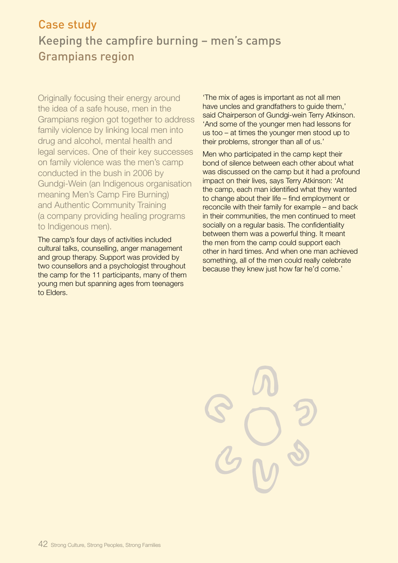# Case study Keeping the campfire burning  $-$  men's camps Grampians region

Originally focusing their energy around the idea of a safe house, men in the Grampians region got together to address family violence by linking local men into drug and alcohol, mental health and legal services. One of their key successes on family violence was the men's camp conducted in the bush in 2006 by Gundgi-Wein (an Indigenous organisation meaning Men's Camp Fire Burning) and Authentic Community Training (a company providing healing programs to Indigenous men).

The camp's four days of activities included cultural talks, counselling, anger management and group therapy. Support was provided by two counsellors and a psychologist throughout the camp for the 11 participants, many of them young men but spanning ages from teenagers to Elders.

'The mix of ages is important as not all men have uncles and grandfathers to guide them,' said Chairperson of Gundgi-wein Terry Atkinson. 'And some of the younger men had lessons for us too – at times the younger men stood up to their problems, stronger than all of us.'

Men who participated in the camp kept their bond of silence between each other about what was discussed on the camp but it had a profound impact on their lives, says Terry Atkinson: 'At the camp, each man identified what they wanted to change about their life  $-$  find employment or reconcile with their family for example – and back in their communities, the men continued to meet socially on a regular basis. The confidentiality between them was a powerful thing. It meant the men from the camp could support each other in hard times. And when one man achieved something, all of the men could really celebrate because they knew just how far he'd come.'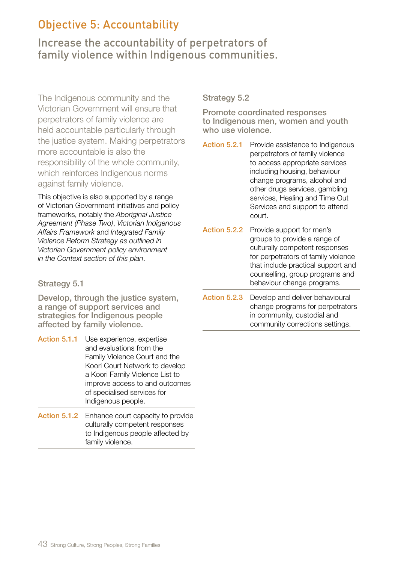# Objective 5: Accountability

### Increase the accountability of perpetrators of family violence within Indigenous communities.

The Indigenous community and the Victorian Government will ensure that perpetrators of family violence are held accountable particularly through the justice system. Making perpetrators more accountable is also the responsibility of the whole community, which reinforces Indigenous norms against family violence.

This objective is also supported by a range of Victorian Government initiatives and policy frameworks, notably the *Aboriginal Justice Agreement (Phase Two)*, *Victorian Indigenous Affairs Framework* and *Integrated Family Violence Reform Strategy as outlined in Victorian Government policy environment in the Context section of this plan*.

#### **Strategy 5.1**

**Develop, through the justice system, a range of support services and strategies for Indigenous people affected by family violence.**

- **Action 5.1.1** Use experience, expertise and evaluations from the Family Violence Court and the Koori Court Network to develop a Koori Family Violence List to improve access to and outcomes of specialised services for Indigenous people.
- **Action 5.1.2** Enhance court capacity to provide culturally competent responses to Indigenous people affected by family violence.

**Strategy 5.2**

**Promote coordinated responses to Indigenous men, women and youth who use violence.**

- Action 5.2.1 Provide assistance to Indigenous perpetrators of family violence to access appropriate services including housing, behaviour change programs, alcohol and other drugs services, gambling services, Healing and Time Out Services and support to attend court.
- **Action 5.2.2** Provide support for men's groups to provide a range of culturally competent responses for perpetrators of family violence that include practical support and counselling, group programs and behaviour change programs.
- **Action 5.2.3** Develop and deliver behavioural change programs for perpetrators in community, custodial and community corrections settings.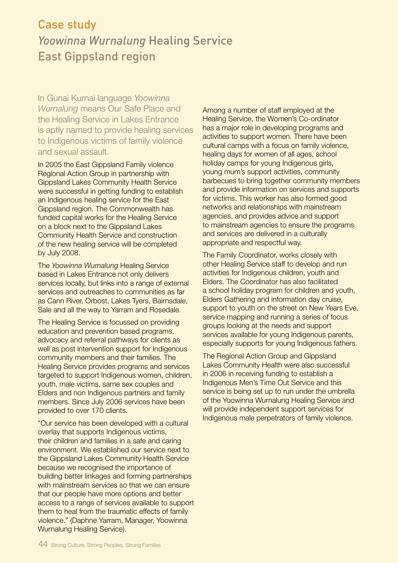# Case study *Yoowinna Wurnalung* Healing Service East Gippsland region

In Gunai Kurnai language *Yoowinna Wurnalung* means Our Safe Place and the Healing Service in Lakes Entrance is aptly named to provide healing services to Indigenous victims of family violence and sexual assault.

In 2005 the East Gippsland Family violence Regional Action Group in partnership with Gippsland Lakes Community Health Service were successful in getting funding to establish an Indigenous healing service for the East Gippsland region. The Commonwealth has funded capital works for the Healing Service on a block next to the Gippsland Lakes Community Health Service and construction of the new healing service will be completed by July 2008.

The *Yoowinna Wurnalung* Healing Service based in Lakes Entrance not only delivers services locally, but links into a range of external services and outreaches to communities as far as Cann River, Orbost, Lakes Tyers, Bairnsdale, Sale and all the way to Yarram and Rosedale.

The Healing Service is focussed on providing education and prevention based programs, advocacy and referral pathways for clients as well as post intervention support for Indigenous community members and their families. The Healing Service provides programs and services targeted to support Indigenous women, children, youth, male victims, same sex couples and Elders and non Indigenous partners and family members. Since July 2006 services have been provided to over 170 clients.

"Our service has been developed with a cultural overlay that supports Indigenous victims, their children and families in a safe and caring environment. We established our service next to the Gippsland Lakes Community Health Service because we recognised the importance of building better linkages and forming partnerships with mainstream services so that we can ensure that our people have more options and better access to a range of services available to support them to heal from the traumatic effects of family violence." (Daphne Yarram, Manager, Yoowinna Wurnalung Healing Service).

Among a number of staff employed at the Healing Service, the Women's Co-ordinator has a major role in developing programs and activities to support women. There have been cultural camps with a focus on family violence, healing days for women of all ages, school holiday camps for young Indigenous girls, young mum's support activities, community barbecues to bring together community members and provide information on services and supports for victims. This worker has also formed good networks and relationships with mainstream agencies, and provides advice and support to mainstream agencies to ensure the programs and services are delivered in a culturally appropriate and respectful way.

The Family Coordinator, works closely with other Healing Service staff to develop and run activities for Indigenous children, youth and Elders. The Coordinator has also facilitated a school holiday program for children and youth, Elders Gathering and information day cruise, support to youth on the street on New Years Eve, service mapping and running a series of focus groups looking at the needs and support services available for young Indigenous parents, especially supports for young Indigenous fathers.

The Regional Action Group and Gippsland Lakes Community Health were also successful in 2006 in receiving funding to establish a Indigenous Men's Time Out Service and this service is being set up to run under the umbrella of the Yoowinna Wurnalung Healing Service and will provide independent support services for Indigenous male perpetrators of family violence.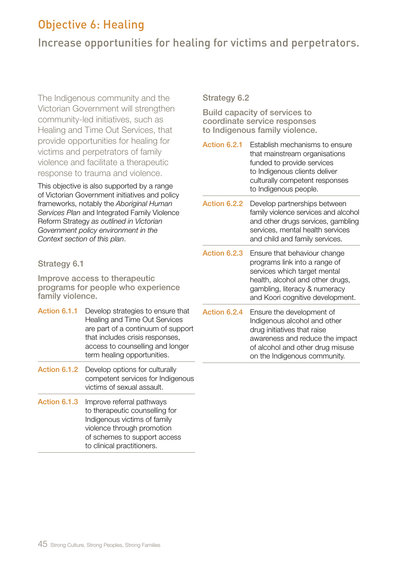# Objective 6: Healing

Increase opportunities for healing for victims and perpetrators.

The Indigenous community and the Victorian Government will strengthen community-led initiatives, such as Healing and Time Out Services, that provide opportunities for healing for victims and perpetrators of family violence and facilitate a therapeutic response to trauma and violence.

This objective is also supported by a range of Victorian Government initiatives and policy frameworks, notably the *Aboriginal Human Services Plan* and Integrated Family Violence Reform Strategy *as outlined in Victorian Government policy environment in the Context section of this plan*.

#### **Strategy 6.1**

**Improve access to therapeutic programs for people who experience family violence.**

- **Action 6.1.1** Develop strategies to ensure that Healing and Time Out Services are part of a continuum of support that includes crisis responses, access to counselling and longer term healing opportunities.
- **Action 6.1.2** Develop options for culturally competent services for Indigenous victims of sexual assault.
- **Action 6.1.3** Improve referral pathways to therapeutic counselling for Indigenous victims of family violence through promotion of schemes to support access to clinical practitioners.

**Strategy 6.2**

**Build capacity of services to coordinate service responses to Indigenous family violence.** 

- **Action 6.2.1** Establish mechanisms to ensure that mainstream organisations funded to provide services to Indigenous clients deliver culturally competent responses to Indigenous people.
- **Action 6.2.2** Develop partnerships between family violence services and alcohol and other drugs services, gambling services, mental health services and child and family services.
- **Action 6.2.3** Ensure that behaviour change programs link into a range of services which target mental health, alcohol and other drugs, gambling, literacy & numeracy and Koori cognitive development.
- **Action 6.2.4** Ensure the development of Indigenous alcohol and other drug initiatives that raise awareness and reduce the impact of alcohol and other drug misuse on the Indigenous community.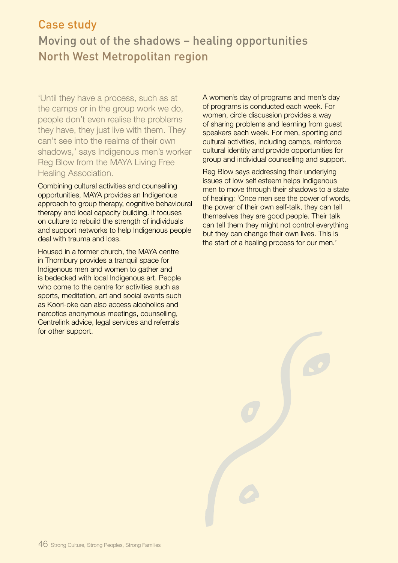### Case study

# Moving out of the shadows – healing opportunities North West Metropolitan region

'Until they have a process, such as at the camps or in the group work we do, people don't even realise the problems they have, they just live with them. They can't see into the realms of their own shadows,' says Indigenous men's worker Reg Blow from the MAYA Living Free Healing Association.

Combining cultural activities and counselling opportunities, MAYA provides an Indigenous approach to group therapy, cognitive behavioural therapy and local capacity building. It focuses on culture to rebuild the strength of individuals and support networks to help Indigenous people deal with trauma and loss.

Housed in a former church, the MAYA centre in Thornbury provides a tranquil space for Indigenous men and women to gather and is bedecked with local Indigenous art. People who come to the centre for activities such as sports, meditation, art and social events such as Koori-oke can also access alcoholics and narcotics anonymous meetings, counselling, Centrelink advice, legal services and referrals for other support.

A women's day of programs and men's day of programs is conducted each week. For women, circle discussion provides a way of sharing problems and learning from guest speakers each week. For men, sporting and cultural activities, including camps, reinforce cultural identity and provide opportunities for group and individual counselling and support.

Reg Blow says addressing their underlying issues of low self esteem helps Indigenous men to move through their shadows to a state of healing: 'Once men see the power of words, the power of their own self-talk, they can tell themselves they are good people. Their talk can tell them they might not control everything but they can change their own lives. This is the start of a healing process for our men.'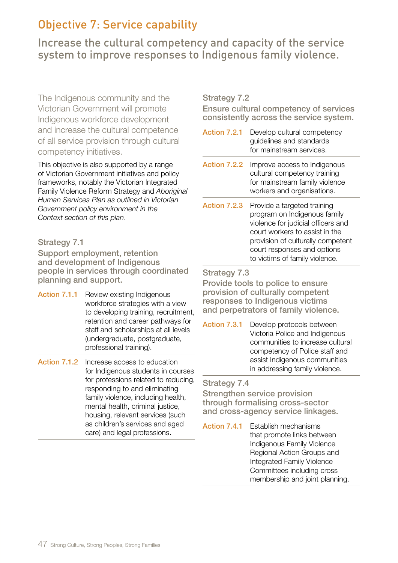# Objective 7: Service capability

Increase the cultural competency and capacity of the service system to improve responses to Indigenous family violence.

The Indigenous community and the Victorian Government will promote Indigenous workforce development and increase the cultural competence of all service provision through cultural competency initiatives.

This objective is also supported by a range of Victorian Government initiatives and policy frameworks, notably the Victorian Integrated Family Violence Reform Strategy and *Aboriginal Human Services Plan as outlined in Victorian Government policy environment in the Context section of this plan*.

#### **Strategy 7.1**

**Support employment, retention and development of Indigenous people in services through coordinated planning and support.**

- **Action 7.1.1** Review existing Indigenous workforce strategies with a view to developing training, recruitment, retention and career pathways for staff and scholarships at all levels (undergraduate, postgraduate, professional training).
- **Action 7.1.2** Increase access to education for Indigenous students in courses for professions related to reducing, responding to and eliminating family violence, including health, mental health, criminal justice, housing, relevant services (such as children's services and aged care) and legal professions.

#### **Strategy 7.2**

**Ensure cultural competency of services consistently across the service system.**

| Action 7.2.1 | Develop cultural competency<br>guidelines and standards<br>for mainstream services.                                                                                                                     |
|--------------|---------------------------------------------------------------------------------------------------------------------------------------------------------------------------------------------------------|
| Action 7.2.2 | Improve access to Indigenous<br>cultural competency training<br>for mainstream family violence<br>workers and organisations.                                                                            |
| Action 7.2.3 | Provide a targeted training<br>program on Indigenous family<br>violence for judicial officers and<br>court workers to assist in the<br>provision of culturally competent<br>court responses and options |

#### **Strategy 7.3**

**Provide tools to police to ensure provision of culturally competent responses to Indigenous victims and perpetrators of family violence.**

to victims of family violence.

**Action 7.3.1** Develop protocols between Victoria Police and Indigenous communities to increase cultural competency of Police staff and assist Indigenous communities in addressing family violence.

#### **Strategy 7.4**

**Strengthen service provision through formalising cross-sector and cross-agency service linkages.**

**Action 7.4.1** Establish mechanisms that promote links between Indigenous Family Violence Regional Action Groups and Integrated Family Violence Committees including cross membership and joint planning.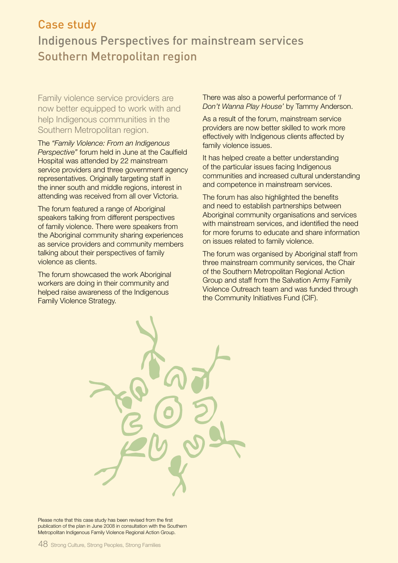# Case study Indigenous Perspectives for mainstream services Southern Metropolitan region

Family violence service providers are now better equipped to work with and help Indigenous communities in the Southern Metropolitan region.

The *"Family Violence: From an Indigenous*  **Perspective"** forum held in June at the Caulfield Hospital was attended by 22 mainstream service providers and three government agency representatives. Originally targeting staff in the inner south and middle regions, interest in attending was received from all over Victoria.

The forum featured a range of Aboriginal speakers talking from different perspectives of family violence. There were speakers from the Aboriginal community sharing experiences as service providers and community members talking about their perspectives of family violence as clients.

The forum showcased the work Aboriginal workers are doing in their community and helped raise awareness of the Indigenous Family Violence Strategy.

There was also a powerful performance of *'I Don't Wanna Play House'* by Tammy Anderson.

As a result of the forum, mainstream service providers are now better skilled to work more effectively with Indigenous clients affected by family violence issues.

It has helped create a better understanding of the particular issues facing Indigenous communities and increased cultural understanding and competence in mainstream services.

The forum has also highlighted the benefits and need to establish partnerships between Aboriginal community organisations and services with mainstream services, and identified the need for more forums to educate and share information on issues related to family violence.

The forum was organised by Aboriginal staff from three mainstream community services, the Chair of the Southern Metropolitan Regional Action Group and staff from the Salvation Army Family Violence Outreach team and was funded through the Community Initiatives Fund (CIF).



Please note that this case study has been revised from the first publication of the plan in June 2008 in consultation with the Southern Metropolitan Indigenous Family Violence Regional Action Group.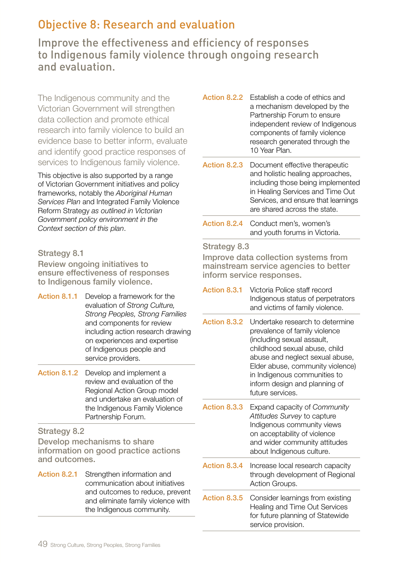# Objective 8: Research and evaluation

Improve the effectiveness and efficiency of responses to Indigenous family violence through ongoing research and evaluation.

The Indigenous community and the Victorian Government will strengthen data collection and promote ethical research into family violence to build an evidence base to better inform, evaluate and identify good practice responses of services to Indigenous family violence.

This objective is also supported by a range of Victorian Government initiatives and policy frameworks, notably the *Aboriginal Human Services Plan* and Integrated Family Violence Reform Strategy *as outlined in Victorian Government policy environment in the Context section of this plan*.

**Strategy 8.1**

**Review ongoing initiatives to ensure effectiveness of responses to Indigenous family violence.**

- **Action 8.1.1** Develop a framework for the evaluation of *Strong Culture, Strong Peoples, Strong Families* and components for review including action research drawing on experiences and expertise of Indigenous people and service providers.
- **Action 8.1.2** Develop and implement a review and evaluation of the Regional Action Group model and undertake an evaluation of the Indigenous Family Violence Partnership Forum.

#### **Strategy 8.2**

**Develop mechanisms to share information on good practice actions and outcomes.**

- **Action 8.2.1** Strengthen information and communication about initiatives and outcomes to reduce, prevent and eliminate family violence with the Indigenous community.
- **Action 8.2.2** Establish a code of ethics and a mechanism developed by the Partnership Forum to ensure independent review of Indigenous components of family violence research generated through the 10 Year Plan. **Action 8.2.3** Document effective therapeutic and holistic healing approaches, including those being implemented in Healing Services and Time Out Services, and ensure that learnings are shared across the state. **Action 8.2.4** Conduct men's, women's and youth forums in Victoria. **Strategy 8.3 Improve data collection systems from mainstream service agencies to better inform service responses. Action 8.3.1** Victoria Police staff record Indigenous status of perpetrators and victims of family violence. **Action 8.3.2** Undertake research to determine prevalence of family violence (including sexual assault, childhood sexual abuse, child abuse and neglect sexual abuse, Elder abuse, community violence) in Indigenous communities to inform design and planning of future services. **Action 8.3.3** Expand capacity of *Community Attitudes Survey* to capture Indigenous community views on acceptability of violence and wider community attitudes about Indigenous culture. **Action 8.3.4** Increase local research capacity through development of Regional Action Groups. **Action 8.3.5** Consider learnings from existing Healing and Time Out Services for future planning of Statewide service provision.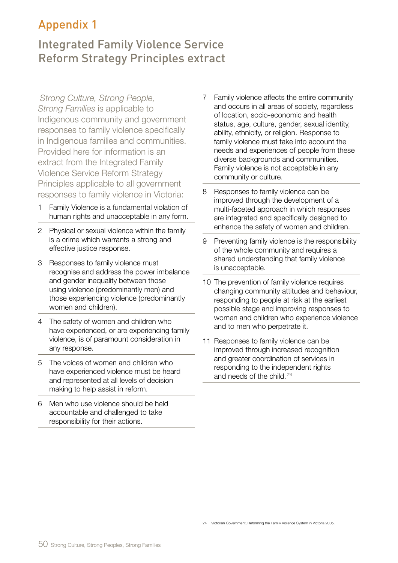# Appendix 1

# Integrated Family Violence Service Reform Strategy Principles extract

*Strong Culture, Strong People, Strong Families* is applicable to Indigenous community and government responses to family violence specifically in Indigenous families and communities. Provided here for information is an extract from the Integrated Family Violence Service Reform Strategy Principles applicable to all government responses to family violence in Victoria:

- 1 Family Violence is a fundamental violation of human rights and unacceptable in any form.
- 2 Physical or sexual violence within the family is a crime which warrants a strong and effective justice response.
- 3 Responses to family violence must recognise and address the power imbalance and gender inequality between those using violence (predominantly men) and those experiencing violence (predominantly women and children).
- 4 The safety of women and children who have experienced, or are experiencing family violence, is of paramount consideration in any response.
- 5 The voices of women and children who have experienced violence must be heard and represented at all levels of decision making to help assist in reform.
- 6 Men who use violence should be held accountable and challenged to take responsibility for their actions.
- 7 Family violence affects the entire community and occurs in all areas of society, regardless of location, socio-economic and health status, age, culture, gender, sexual identity, ability, ethnicity, or religion. Response to family violence must take into account the needs and experiences of people from these diverse backgrounds and communities. Family violence is not acceptable in any community or culture.
- 8 Responses to family violence can be improved through the development of a multi-faceted approach in which responses are integrated and specifically designed to enhance the safety of women and children.
- 9 Preventing family violence is the responsibility of the whole community and requires a shared understanding that family violence is unacceptable.
- 10 The prevention of family violence requires changing community attitudes and behaviour, responding to people at risk at the earliest possible stage and improving responses to women and children who experience violence and to men who perpetrate it.
- 11 Responses to family violence can be improved through increased recognition and greater coordination of services in responding to the independent rights and needs of the child. <sup>24</sup>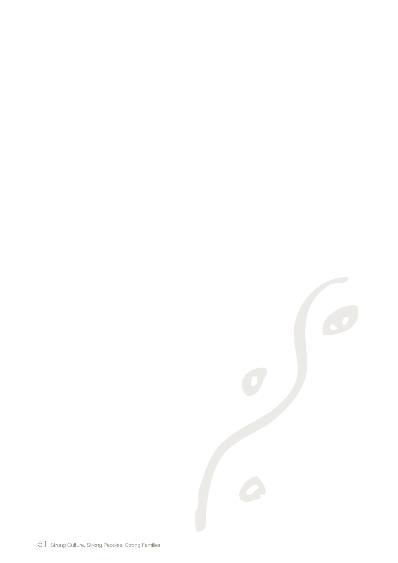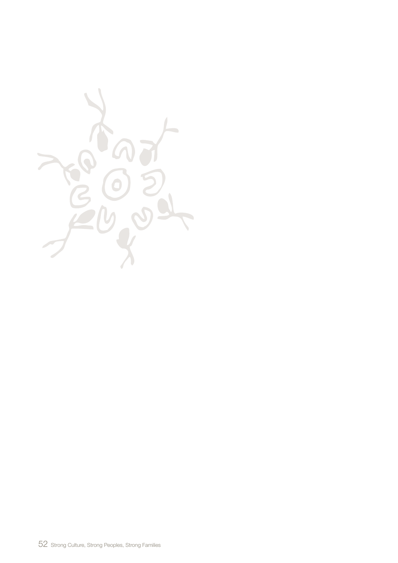